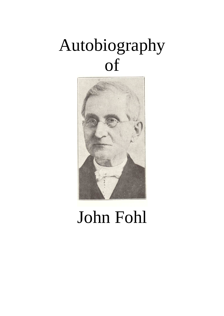# Autobiography of



# John Fohl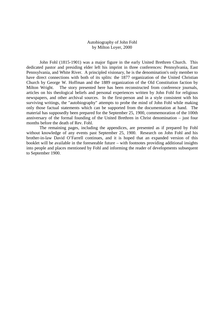#### Autobiography of John Fohl by Milton Loyer, 2000

John Fohl (1815-1901) was a major figure in the early United Brethren Church. This dedicated pastor and presiding elder left his imprint in three conferences: Pennsylvania, East Pennsylvania, and White River. A principled visionary, he is the denomination's only member to have direct connections with both of its splits: the 1877 organization of the United Christian Church by George W. Hoffman and the 1889 organization of the Old Constitution faction by Milton Wright. The story presented here has been reconstructed from conference journals, articles on his theological beliefs and personal experiences written by John Fohl for religious newspapers, and other archival sources. In the first-person and in a style consistent with his surviving writings, the "autobiography" attempts to probe the mind of John Fohl while making only those factual statements which can be supported from the documentation at hand. The material has supposedly been prepared for the September 25, 1900, commemoration of the 100th anniversary of the formal founding of the United Brethren in Christ denomination – just four months before the death of Rev. Fohl.

The remaining pages, including the appendices, are presented as if prepared by Fohl without knowledge of any events past September 25, 1900. Research on John Fohl and his brother-in-law David O'Farrell continues, and it is hoped that an expanded version of this booklet will be available in the foreseeable future – with footnotes providing additional insights into people and places mentioned by Fohl and informing the reader of developments subsequent to September 1900.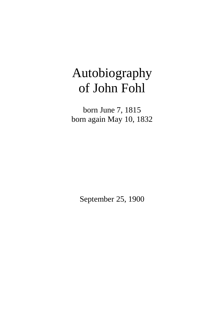### Autobiography of John Fohl

born June 7, 1815 born again May 10, 1832

September 25, 1900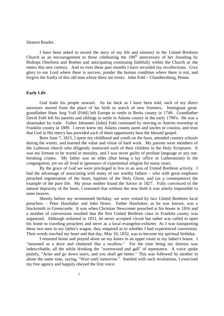#### Dearest Reader,

I have been asked to record the story of my life and ministry in the United Brethren Church as an encouragement to those celebrating the  $100<sup>th</sup>$  anniversary of her founding by Bishops Otterbein and Boehm and anticipating continuing faithfully within the Church as she enters this new century. And so over these past months I have recorded my recollections. Give glory to our Lord where there is success, ponder the human condition where there is not, and forgive the frailty of this old man where there are errors. John Fohl – Chambersburg, Penna.

#### **Early Life**

God leads his people onward. As far back as I have been told, each of my direct ancestors moved from the place of his birth in search of new frontiers. Immigrant greatgrandfather Hans Jorg Voll [Fohl] left Europe to settle in Berks county in 1749. Grandfather David Fohl left his parents and siblings to settle in Adams county in the early 1790's. He was a shoemaker by trade. Father Johannes [John] Fohl continued by moving to Antrim township in Franklin county in 1809. I never knew my Adams county aunts and uncles or cousins, and trust that God in His mercy has provided each of them opportunity hear the blessed gospel.

Born June 7, 1815, I spent my childhood and youth on the farm, attended country schools during the winter, and learned the value and virtue of hard work. My parents were members of the Lutheran church who diligently instructed each of their children in the Holy Scriptures. It was my fortune to be reared in morality, and I was never guilty of profane language or any outbreaking crimes. My father was an elder (that being a lay office in Lutheranism) in the congregation, yet we all lived in ignorance of experiential religion for many years.

By the grace of God we were privileged to live in an area of United Brethren activity. I had the advantage of associating with many of our worthy fathers – who with great emphasis preached regeneration of the heart, baptism of the Holy Ghost, and (as a consequence) the example of the pure life. My pious mother found the Savior in 1827. Fully convinced of the natural depravity of the heart, I reasoned that without the new birth it was utterly impossible to enter heaven.

Shortly before my seventeenth birthday, we were visited by two United Brethren local preachers – Peter Hawbaker and John Dowe. Father Hawbaker, as he was known, was a blacksmith in Greencastle. It was when Christian Newcomer preached at his house in 1816 and a number of conversions resulted that the first United Brethren class in Franklin county was organized. Although ordained in 1831, he never accepted circuit but rather was called to open his home to traveling preachers and serve as a local evangelist-exhorter. As I was transporting these two men in my father's wagon, they enquired as to whether I had experienced conversion. Their words touched my heart and that day, May 10, 1832, was to become my spiritual birthday.

I returned home and prayed alone on my knees in an upper room in my father's house. I "mourned as a dove and chattered like a swallow." For the time being my distress was indescribable, all the while drinking the "wormwood and gall" of repentance. A voice spoke plainly, "Arise and go down stairs, and you shall get better." This was followed by another in about the same tone, saying, "Wait until tomorrow." Startled with such revelations, I exercised my free agency and happily obeyed the first voice.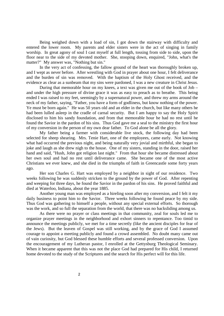Being weighed down with a load of sin, I got down the stairway with difficulty and entered the lower room. My parents and elder sisters were in the act of singing in family worship. In great agony of soul I cast myself at full length, tossing from side to side, upon the floor near to the side of my devoted mother. She, stooping down, enquired, "John, what's the matter?" My answer was, "Nothing but sin."

In the very act of confessing, the fallow ground of the heart was thoroughly broken up, and I wept as never before. After wrestling with God in prayer about one hour, I felt deliverance and the burden of sin was removed. With the baptism of the Holy Ghost received, and the evidence as clear as a sunbeam that my sins were pardoned, I was a new creature in Christ Jesus.

 During that memorable hour on my knees, a text was given me out of the book of Job – and under the high pressure of divine grace it was as easy to preach as to breathe. This being ended I was raised to my feet, seemingly by a supernatural power, and threw my arms around the neck of my father, saying, "Father, you have a form of godliness, but know nothing of the power. Ye must be born again." He was 50 years old and an elder in the church, but like many others he had been lulled asleep in the cradle of carnal security. But I am happy to say the Holy Spirit disclosed to him his sandy foundation, and from that memorable hour he had no rest until he found the Savior in the pardon of his sins. Thus God gave me a seal to the ministry the first hour of my conversion in the person of my own dear father. To God alone be all the glory.

My father being a farmer with considerable live stock, the following day had been selected for sheep shearing. Mrs. Tenie Hart, one of the employees, came early. Not knowing what had occurred the previous night, and being naturally very jovial and mirthful, she began to joke and laugh as she drew nigh to the house. One of my sisters, standing in the door, raised her hand and said, "Hush, John got religion last night." From that hour she became distressed about her own soul and had no rest until deliverance came. She became one of the most active Christians we ever knew, and she died in the triumphs of faith in Greencastle some forty years ago.

Her son Charles G. Hart was employed by a neighbor in sight of our residence. Two weeks following he was suddenly stricken to the ground by the power of God. After repenting and weeping for three days, he found the Savior in the pardon of his sins. He proved faithful and died at Waterloo, Indiana, about the year 1885.

Another young man was employed as a hireling soon after my conversion, and I felt it my daily business to point him to the Savior. Three weeks following he found peace by my side. Thus God was gathering to himself a people, without any special external efforts. So thorough was the work, and so full the separation from the world, that there was no backsliding among us.

As there were no prayer or class meetings in that community, zeal for souls led me to organize prayer meetings in the neighborhood and exhort sinners to repentance. Too timid to announce the meetings publicly, we met for a time secretly (like the ancient disciples for fear of the Jews). But the leaven of Gospel was still working, and by the grace of God I assumed courage to appoint a meeting publicly and found a crowd assembled. No doubt many came out of vain curiosity, but God blessed these humble efforts and several professed conversion. Upon the encouragement of my Lutheran pastor, I enrolled at the Gettysburg Theological Seminary. When it became apparent that this was not the place God had prepared for His child, I returned home devoted to the study of the Scriptures and the search for His perfect will for this life.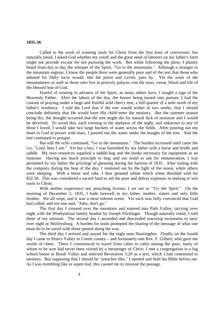#### **1835-36**

Called to the work of winning souls for Christ from the first hour of conversion, but naturally timid, I asked God whether my youth and the great need of laborers on my father's farm might not provide excuse for not pursuing the work. But while following the plow, I plainly heard from day to day the whisper of the Spirit, "Go to the mountains." Although a stranger to the mountain regions, I knew the people there were generally poor and of the sort that those who labored for filthy lucre would, like the priest and Levite, pass by. Yet the souls of the mountaineers as well as those who live in princely palaces cost the tears, sweat, blood and life of the blessed Son of God.

Fearful of running in advance of the Spirit, as many others have, I sought a sign of the Heavenly Father. After the labors of the day, the horses being turned into pasture, I had the custom of praying under a large and fruitful wild cherry tree, a full quarter of a mile north of my father's residence. I told the Lord that if the tree would wither in two weeks, that I should conclude definitely that He would have His child enter the ministry. But the summer season being dry, the thought occurred that the tree might die for natural lack of moisture and I would be deceived. To avoid this, each evening in the darkness of the night, and unknown to any of those I loved, I would take two large buckets of water across the fields. After pouring out my heart to God in prayer with tears, I poured out the water under the boughs of the tree. And the tree continued to prosper.

But still the echo continued, "Go to the mountains." The burden increased until came the cry, "Lord, here I am." Yet but a boy, I was furnished by my father with a horse and bridle and saddle. My own resources supplied a saddle-bag and the books necessary for equipment as an itinerant. Having too much principle to beg, and too timid to ask for remuneration, I was permitted by my father the privilege of gleaning during the harvest of 1835. After toiling with the company during the heat of the day, I ventured out by the light of the moon, while others were sleeping. With a horse and rake, I thus gleaned wheat which when threshed sold for \$32.50. This was considered a sacred fund to aid the poor and defray expenses in seeking to win souls to Christ.

With neither experience nor preaching license, I set out to "Try the Spirit." On the morning of December 2, 1835, I bade farewell to my father, mother, sisters and only little brother. We all wept, and it was a most solemn scene. Yet each was fully convinced that God had called, and not one said, "John, don't go."

The first day I crossed over the mountain and entered into Path Valley, tarrying over night with the Presbyterian family headed by Joseph Flickinger. Though naturally timid, I told them of my mission. The second day I ascended and descended towering mountains to tarry over night at Shirleysburg. A burden for souls prompted the sharing of the message of what one must do to be saved with those passed along the way.

The third day I arrived and stayed for the night near Huntingdon. Finally on the fourth day I came to Penn's Valley in Centre county – and fortunately met Rev. F. Gilbert, who gave me words of cheer. There I commenced to travel from cabin to cabin among the poor, many of whom to be sure had never been visited by a messenger of Christ. I met a congregation in a log school house in Brush Valley and selected Revelation 3:20 as a text, which I had committed to memory. But supposing that I should be "preacher-like," I opened and held the Bible before me. As I was trembling like as aspen leaf, this caused me to misread the passage.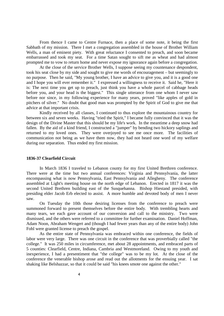From thence I came to Centre Furnace, then a place of some note, it being the first Sabbath of my mission. There I met a congregation assembled in the house of Brother William Wells, a man of eminent piety. With great reluctance I consented to preach, and soon became embarrassed and took my seat. For a time Satan sought to sift me as wheat and had almost prompted me to vow to return home and never expose my ignorance again before a congregation.

 At the close of the service Brother Wells, I suppose seeing my countenance despondent, took his seat close by my side and sought to give me words of encouragement – but seemingly to no purpose. Then he said, "My young brother, I have an advice to give you, and it is a good one and I hope you will ever remember it." I expressed a willingness to receive it. Said he, "Here it is: The next time you get up to preach, just think you have a whole parcel of cabbage heads before you, and your head is the biggest." This single utterance from one whom I never saw before nor since, in my following experience for many years, proved "like apples of gold in pitchers of silver." No doubt that good man was prompted by the Spirit of God to give me that advice at that important crisis.

Kindly received by all classes, I continued to thus explore the mountainous country for between six and seven weeks. Having "tried the Spirit," I became fully convinced that it was the design of the Divine Master that this should be my life's work. In the meantime a deep snow had fallen. By the aid of a kind friend, I constructed a "jumper" by bending two hickory saplings and returned to my loved ones. They were overjoyed to see me once more. The facilities of communication not being as we have them now, they had not heard one word of my welfare during our separation. Thus ended my first mission.

#### **1836-37 Clearfield Circuit**

In March 1836 I traveled to Lebanon county for my first United Brethren conference. There were at the time but two annual conferences: Virginia and Pennsylvania, the latter encompassing what is now Pennsylvania, East Pennsylvania and Allegheny. The conference assembled at Light's meeting house on the north edge of Lebanon. Erected in 1817 it was the second United Brethren building east of the Susquehanna. Bishop Hiestand presided, with presiding elder Jacob Erb elected to assist. A more humble and devoted body of men I never saw.

On Tuesday the 10th those desiring licenses from the conference to preach were summoned forward to present themselves before the entire body. With trembling hearts and many tears, we each gave account of our conversion and call to the ministry. Two were dismissed, and the others were referred to a committee for further examination. Daniel Hoffman, Adam Noon, Abraham Wengert and (though I had fewer years than any of the entire body) John Fohl were granted license to preach the gospel.

As the entire state of Pennsylvania was embraced within one conference, the fields of labor were very large. There was one circuit in the conference that was proverbially called "the college." It was 250 miles in circumference, met about 28 appointments, and embraced parts of 5 counties: Clearfield, Centre, Indiana, Cambria and Westmoreland. Owing to my youth and inexperience, I had a presentiment that "the college" was to be my lot. At the close of the conference the venerable bishop arose and read out the allotments for the ensuing year. I sat shaking like Belshazzar, so that it could be said "his knees smote one against the other."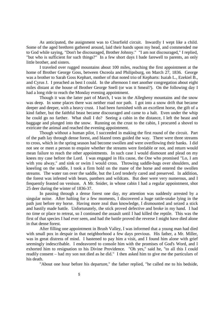As anticipated, the assignment was to Clearfield circuit. Inwardly I wept like a child. Some of the aged brethren gathered around, laid their hands upon my head, and commended me to God while saying, "Don't be discouraged, Brother Johnny." "I am not discouraged," I replied, "but who is sufficient for such things?" In a few short days I bade farewell to parents, an only little brother, and sisters.

I traveled over rugged mountains about 100 miles, reaching the first appointment at the home of Brother George Goss, between Osceola and Philipsburg, on March 27, 1836. George was a brother to Sarah Goss Kephart, mother of that noted trio of Kepharts: Isaiah L., Ezekiel B., and Cyrus J. I preached as best I could. In the afternoon I met another congregation about eight miles distant at the house of Brother George Snell (or was it Smeal?). On the following day I had a long ride to reach the Monday evening appointment.

Though it was the latter part of March, I was in the Allegheny mountains and the snow was deep. In some places there was neither road nor path. I got into a snow drift that became deeper and deeper, with a heavy crust. I had been furnished with an excellent horse, the gift of a kind father, but the faithful beast became discouraged and came to a halt. Even under the whip he could go no farther. What shall I do? Seeing a cabin in the distance, I left the beast and baggage and plunged into the snow. Running on the crust to the cabin, I procured a shovel to extricate the animal and reached the evening appointment.

Though without a human pilot, I succeeded in making the first round of the circuit. Part of the path lay through dense forest, and blazed trees guided the way. There were three streams to cross, which in the spring season had become swollen and were overflowing their banks. I did not see or meet a person to enquire whether the streams were fordable or not, and return would mean failure to reach the other appointments. In such case I would dismount and plead on my knees my case before the Lord. I was engaged in His cause, the One who promised "Lo, I am with you alway," and sink or swim I would cross. Throwing saddle-bags over shoulders, and kneeling on the saddle, I took a firm hold on the mane of the horse and entered the swollen streams. The water ran over the saddle, but the Lord tenderly cared and preserved. In addition, the forest was infested with bears, panthers and wildcats. But deer were very numerous, and I frequently feasted on venison. A Mr. Snider, in whose cabin I had a regular appointment, shot 25 deer during the winter of 1836-37.

In passing through a dense forest one day, my attention was suddenly arrested by a singular noise. After halting for a few moments, I discovered a huge rattle-snake lying in the path just before my horse. Having more zeal than knowledge, I dismounted and seized a stick and hastily made battle. Unfortunately, the stick proved defective and broke in my hand. I had no time or place to retreat, so I continued the assault until I had killed the reptile. This was the first of that species I had ever seen, and had the battle proved the reverse I might have died alone in that dense forest.

After filling one appointment in Brush Valley, I was informed that a young man had died with small pox in despair in that neighborhood a few days previous. His father, a Mr. Miller, was in great distress of mind. I hastened to pay him a visit, and I found him alone with grief seemingly indescribable. I endeavored to console him with the promises of God's Word, and I exhorted him to resignation to his Divine Providence. "Oh yes," said he, "to all this I could readily consent – had my son not died as he did." I then asked him to give me the particulars of his death.

"About one hour before his departure," the father replied, "he called me to his bedside,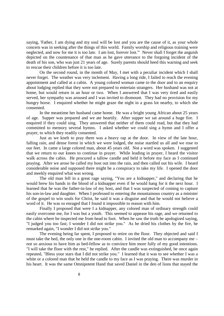saying, 'Father, I am dying and my soul will be lost and you are the cause of it, as your whole concern was in seeking after the things of this world. Family worship and religious training were neglected, and now for me it is too late. I am lost, forever lost.'" Never shall I forget the anguish depicted on the countenance of that man as he gave utterance to the forgoing incident of the death of his son, who was just 21 years of age. Surely parents should heed this warning and seek to rescue their children before it is too late.

On the second round, in the month of May, I met with a peculiar incident which I shall never forget. The weather was very inclement. Having a long ride, I failed to reach the evening appointment and called at a cabin. A young colored woman came to the door and to an enquiry about lodging replied that they were not prepared to entertain strangers. Her husband was not at home, but would return in an hour or two. When I answered that I was very tired and easily served, her sympathy was aroused and I was invited to dismount. They had no provision for my hungry horse. I enquired whether he might graze the night in a grass lot nearby, to which she consented.

In the meantime her husband came home. He was a bright young African about 25 years of age. Supper was prepared and we ate heartily. After supper we sat around a huge fire. I enquired if they could sing. They answered that neither of them could read, but that they had committed to memory several hymns. I asked whether we could sing a hymn and I offer a prayer, to which they readily consented.

Just as we knelt to pray there was a heavy rap at the door. In view of the late hour, falling rain, and dense forest in which we were lodged, the noise startled us all and we rose to our feet. In came a large colored man, about 45 years old. Not a word was spoken. I suggested that we return to our knees to continue in prayer. While leading in prayer, I heard the visitor walk across the cabin. He procured a tallow candle and held it before my face as I continued praying. After we arose he called my host out into the rain, and then called out his wife. I heard considerable noise and supposed there might be a conspiracy to take my life. I opened the door and meekly enquired what was wrong.

The old man fell in a great rage saying, "You are a kidnapper," and declaring that he would brew his hands in the blood of a kidnapper even if he would hang for it the next hour. I learned that he was the father-in-law of my host, and that I was suspected of coming to capture his son-in-law and daughter. When I professed to entering the mountainous country as a minister of the gospel to win souls for Christ, he said it was a disguise and that he would not believe a word of it. He was so enraged that I found it impossible to reason with him.

Finally I proposed that were I a kidnapper, any colored man of ordinary strength could easily overcome me, for I was but a youth. This seemed to appease his rage, and we returned to the cabin where he inspected me from head to foot. When he saw the truth he apologized saying, "I judged you too fast; I wonder I did not strike you." As he dried his clothes by the fire, he remarked again, "I wonder I did not strike you."

The evening being far spent, I proposed to retire on the floor. They objected and said I must take the bed, the only one in the one-room cabin. I invited the old man to accompany me – not so anxious to have him as bed-fellow as to convince him more fully of my good intentions. "I will take the floor with the rest," he replied. After the candle was extinguished, he once again repeated, "Bless your stars that I did not strike you." I learned that it was to see whether I was a white or a colored man that he held the candle to my face as I was praying. There was murder in his heart. It was the same Omnipotent Hand that saved Daniel in the den of lions that stayed the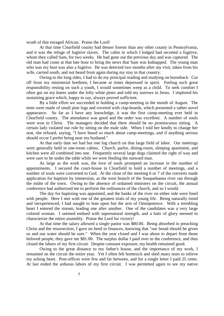wrath of that enraged African. Praise the Lord!

At that time Clearfield county had denser forests than any other county in Pennsylvania, and it was the refuge of fugitive slaves. The cabin in which I lodged had secreted a fugitive, whom they called Sam, for two weeks. He had gone out the previous day and was captured. The old man had come at that late hour to bring the news that Sam was kidnapped. The young man who was my host was also a fugitive. He was detected two months after my visit, taken from his wife, carried south, and not heard from again during my stay in that country.

Owing to the long rides, I had to do my principal reading and studying on horseback. Cut off from my ministerial brethren, I became at times depressed in spirit. Feeling such great responsibility resting on such a youth, I would sometimes weep as a child. To seek comfort I often got on my knees under the lofty white pines and told my sorrows to Jesus. I implored his sustaining grace which, happy to say, always proved sufficient.

By a little effort we succeeded in holding a camp-meeting in the month of August. The tents were made of small pine logs and covered with clap-boards, which presented a rather novel appearance. So far as I have any knowledge, it was the first camp-meeting ever held in Clearfield county. The attendance was good and the order was excellent. A number of souls were won to Christ. The managers decided that there should be no promiscuous sitting. A certain lady violated our rule by sitting on the male side. When I told her kindly to change her seat, she refused, saying, "I have heard so much about camp-meetings, and if anything serious should occur I prefer being near my husband."

At that early date we had but one log church on that large field of labor. Our meetings were generally held in one-room cabins. Church, parlor, dining-room, sleeping apartment, and kitchen were all combined into one. Frequently several large dogs claimed the right of way and were sure to be under the table while we were feeding the outward man.

As large as the work was, the love of souls prompted an increase in the number of appointments. I secured the court-house in Clearfield to hold a number of meetings, and a number of souls were converted to God. At the close of the meeting 6 or 7 of the converts made application for baptism by immersion, as the west branch of the Susquehanna river ran through the midst of the town. Owing to the absence of ordained ministers on the circuit, the annual conference had authorized me to perform the ordinances of the church, and so I would.

The day for baptizing was appointed, and the banks of the river on either side were lined with people. Here I met with one of the greatest trials of my young life. Being naturally timid and inexperienced, I had naught to lean upon but the arm of Omnipotence. With a trembling heart I entered the stream, leading one after another. One of the candidates was a very large colored woman. I seemed endued with supernatural strength, and a halo of glory seemed to characterize the entire assembly. Praise the Lord for victory!

At that time the salary allowed a single pastor was \$80.00. Being absorbed in preaching Christ and the resurrection, I gave no heed to finances, knowing that "our bread should be given us and our water should be sure." When the year closed and I was about to depart from those beloved people, they gave me \$81.00. The surplus dollar I paid over to the conference, and thus closed the labors of my first circuit. Despite constant exposure, my health remained good.

Owing to the great distance to my father's house, and the importance of my work, I remained on the circuit the entire year. Yet I often felt homesick and shed many tears to relieve my aching heart. Post-offices were few and far between, and for a single letter I paid 25 cents. At last ended the arduous labors of my first circuit. I was permitted again to see my native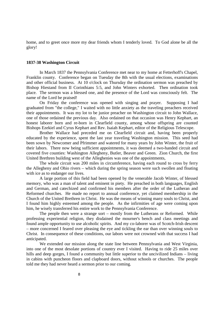home, and to greet once more my dear friends whom I tenderly loved. To God alone be all the glory!

#### **1837-38 Washington Circuit**

In March 1837 the Pennsylvania Conference met near to my home at Fetterhoff's Chapel, Franklin county. Conference began on Tuesday the 8th with the usual elections, examinations and other official business. At 10 o'clock on Thursday the ordination sermon was preached by Bishop Hiestand from II Corinthians 5:5, and John Winters exhorted. Then ordination took place. The sermon was a blessed one, and the presence of the Lord was consciously felt. The name of the Lord be praised!

On Friday the conference was opened with singing and prayer. Supposing I had graduated from "the college," I waited with no little anxiety as the traveling preachers received their appointments. It was my lot to be junior preacher on Washington circuit to John Wallace, one of those ordained the previous day. Also ordained on that occasion was Henry Kephart, an honest laborer born and re-born in Clearfield county, among whose offspring are counted Bishops Ezekiel and Cyrus Kephart and Rev. Isaiah Kephart, editor of the Religious Telescope.

Brother Wallace had preceded me on Clearfield circuit and, having been properly educated by the experience, spent the last year traveling Washington mission. This seed had been sown by Newcomer and Pfrimmer and watered for many years by John Winter, the fruit of their labors. There now being sufficient appointments, it was deemed a two-handed circuit and covered five counties: Washington Allegheny, Butler, Beaver and Green. Zion Church, the first United Brethren building west of the Alleghenies was one of the appointments,

The whole circuit was 200 miles in circumference, having each round to cross by ferry the Allegheny and Ohio rivers – which during the spring season were such swollen and floating with ice as to endanger our lives.

A large portion of this field had been opened by the venerable Jacob Winter, of blessed memory, who was a man of talent and eminent in piety. He preached in both languages, English and German, and catechized and confirmed his members after the order of the Lutheran and Reformed churches. He made no report to annual conference, yet claimed membership in the Church of the United Brethren in Christ. He was the means of winning many souls to Christ, and I found him highly esteemed among the people. As the infirmities of age were coming upon him, he wisely transferred his entire work to the Pennsylvania Conference.

The people then were a strange sort – mostly from the Lutherans or Reformed. While professing experiential religion, they disdained the mourner's bench and class meetings and found ample opportunity to use alcoholic spirits. And my co-laborer was of Scotch-Irish descent – more concerned I feared over pleasing the eye and tickling the ear than over winning souls to Christ. In consequence of these conditions, our labors were not crowned with that success I had anticipated.

We extended our mission along the state line between Pennsylvania and West Virginia, into one of the most desolate portions of country ever I visited. Having to ride 25 miles over hills and deep gorges, I found a community but little superior to the uncivilized Indians – living in cabins with puncheon floors and clapboard doors, without schools or churches. The people told me they had never heard a sermon prior to our coming.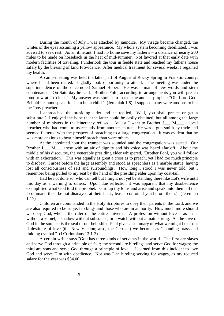During the month of July I was attacked by jaundice. My visage became changed, the whites of the eyes assuming a yellow appearance. My whole system becoming debilitated, I was advised to seek rest. As an itinerant, I had no home save my father's – a distance of nearly 200 miles to be made on horseback in the heat of mid-summer. Not favored at that early date with modern facilities of traveling, I undertook the tour in feeble state and reached my father's house safely by the blessing of kind Providence. After medical treatment for several weeks, I regained my health.

A camp-meeting was held the latter part of August at Rocky Spring in Franklin county, where I had been reared. I gladly took opportunity to attend. The meeting was under the superintendence of the once-noted Samuel Huber. He was a man of few words and stern countenance. On Saturday he said, "Brother Fohl, according to arrangements you will preach tomorrow at 2 o'clock." My answer was similar to that of the ancient prophet: "Oh, Lord God! Behold I cannot speak, for I am but a child." (Jeremiah 1:6) I suppose many were anxious to her the "boy preacher."

I approached the presiding elder and he replied, "Well, you shall preach or get a substitute." I enjoyed the hope that the latter could be easily obtained, but all among the large number of ministers in the itinerancy refused. At last I went to Brother J M, a local preacher who had come to us recently from another church. He was a gun-smith by trade and seemed flattered with the prospect of preaching to a large congregation. It was evident that he was more anxious to hear himself preach than were others.

At the appointed hour the trumpet was sounded and the congregation was seated. Our Brother J M arose with an air of dignity and his voice was heard afar off. About the middle of his discourse, the venerable presiding elder whispered, "Brother Fohl, you will follow with an exhortation." This was equally as great a cross as to preach, yet I had too much principle to disobey. I arose before the large assembly and stood as speechless as a marble statue, having lost all consciousness of self and surroundings. How long I stood I was never told, but I remember being pulled to my seat by the hand of the presiding elder upon my coat-tail.

Had he not done so, who can tell but I might not yet be standing there like Lot's wife until this day as a warning to others. Upon due reflection it was apparent that my disobedience exemplified what God told the prophet: "Gird up thy loins and arise and speak unto them all that I command thee: be not dismayed at their faces, least I confound you before them." (Jeremiah 1:17)

Children are commanded in the Holy Scriptures to obey their parents in the Lord, and we are also required to be subject to kings and those who are in authority. How much more should we obey God, who is the ruler of the entire universe. A profession without love is as a nut without a kernel, a shadow without substance, or a watch without a main-spring. As the love of God in the soul, so is the seal of our heir-ship. Paul gives a summary of what we might be or do: if destitute of love (the New Version; also, the German) we become as "sounding brass and tinkling cymbal." (I Corinthians 13:1-3)

A certain writer says "God has three kinds of servants in the world. The first are slaves and serve God through a principle of fear; the second are hirelings and serve God for wages; the third are sons and serve God through a principle of love." I learned from this incident to love God and serve Him with obedience. Nor was I an hireling serving for wages, as my reduced salary for the year was \$34.00.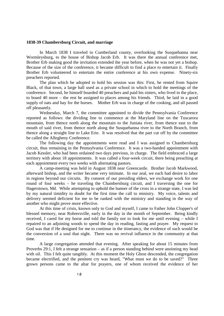#### **1838-39 Chambersburg Circuit, and marriage**

In March 1838 I traveled to Cumberland county, overlooking the Susquehanna near Wormleysburg, to the house of Bishop Jacob Erb. It was there the annual conference met, Brother Erb making good the invitation extended the year before, when he was not yet a bishop. Because of the size of the conference, it became difficult to find a place to entertain it. Finally Brother Erb volunteered to entertain the entire conference at his own expense. Ninety-six preachers reported.

The plan which he adopted to hold his session was this: First, he rented from Squire Black, of that town, a large hall used as a private school in which to hold the meetings of the conference. Second, he himself boarded 40 preachers and paid his sisters, who lived in the place, to board 40 more – the rest he assigned to places among his friends. Third, he laid in a good supply of oats and hay for the horses. Mother Erb was in charge of the cooking, and all passed off pleasantly.

Wednesday, March 7, the committee appointed to divide the Pennsylvania Conference reported as follows: the dividing line to commence at the Maryland line on the Tuscarora mountain, from thence north along the mountain to the Juniata river, from thence east to the mouth of said river, from thence north along the Susquehanna river to the North Branch, from thence along a straight line to Lake Erie. It was resolved that the part cut off by the committee be called the Allegheny Conference.

The following day the appointments were read and I was assigned to Chambersburg circuit, thus remaining in the Pennsylvania Conference. It was a two-handed appointment with Jacob Kessler, who had been ordained two days previous, in charge. The field embraced a large territory with about 18 appointments. It was called a four-week circuit, there being preaching at each appointment every two weeks with alternating pastors.

A camp-meeting was held in August 1838 near Greencastle. Brother Jacob Markwood, afterward bishop, and the writer became very intimate. In our zeal, we each had desire to labor in regions beyond our circuits. By consent of our presiding elders, we exchange work for one round of four weeks – he traveling the Chambersburg circuit, and I traversing the one for Hagerstown, Md. While attempting to uphold the banner of the cross in a strange state, I was led by my natural timidity to doubt for the first time the call to ministry. My voice, talents and delivery seemed deficient for me to be ranked with the ministry and standing in the way of another who might prove more effective.

At this time of crisis, known only to God and myself, I came to Father John Clopper's of blessed memory, near Rohrersville, early in the day in the month of September. Being kindly received, I cared for my horse and told the family not to look for me until evening – while I repaired to an adjoining woods to spend the day in reading, fasting and prayer. My request to God was that if He designed for me to continue in the itinerancy, the evidence of such would be the conversion of a soul that night. There was no revival influence in the community at that time.

A large congregation attended that evening. After speaking for about 15 minutes from Proverbs 29:1, I felt a strange sensation – as if a person standing behind were anointing my head with oil. This I felt quite tangibly. At this moment the Holy Ghost descended, the congregation became electrified, and the penitent cry was heard, "What must we do to be saved?" Three grown persons came to the altar for prayers, one of whom received the evidence of her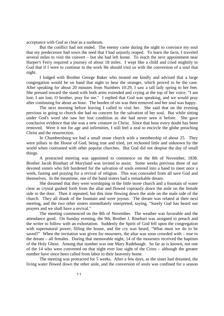acceptance with God as clear as a sunbeam.

But the conflict had not ended. The enemy came during the night to convince my soul that my predecessor had sown the seed that I had unjustly reaped. To learn the facts, I traveled several miles to visit the convert – but she had left home. To reach the next appointment near Harper's Ferry required a journey of about 18 miles. I wept like a child and cried mightily to God that if I were to continue in the work He should visit us with the conversion of a soul that night.

I lodged with Brother George Baker who treated me kindly and advised that a large congregation would be on hand that night to hear the stranger, which proved to be the case. After speaking for about 20 minutes from Numbers 10:29, I saw a tall lady spring to her feet. She pressed toward the stand with both arms extended and crying at the top of her voice, "I am lost; I am lost; O brother, pray for me." I replied that God was speaking, and we would pray after continuing for about an hour. The burden of sin was then removed and her soul was happy.

The next morning before leaving I called to visit her. She said that on the evening previous in going to church she had no concern for the salvation of her soul. But while sitting under God's word she saw her lost condition as she had never seen it before. She gave conclusive evidence that she was a new creature in Christ. Since that hour every doubt has been removed. Were it not for age and infirmities, I still feel a zeal to encircle the globe preaching Christ and the resurrection.

In Chambersburg we had a small stone church with a membership of about 25. They were pillars in the House of God, being true and tried, yet reckoned little and unknown by the world when contrasted with other popular churches. But God did not despise the day of small things.

A protracted meeting was appointed to commence on the 8th of November, 1838. Brother Jacob Rinehart of Maryland was invited to assist. Some weeks previous three of our devoted sisters who felt burdened for the salvation of souls entered into a band to meet once a week, fasting and praying for a revival of religion. This was concealed from all save God and themselves. In the meantime, one of the band sisters had a remarkable dream.

She dreamed that they were worshiping in the little stone church and a fountain of water clear as crystal gushed forth from the altar and flowed copiously down the aisle on the female side to the door. Then it repeated, but this time flowing down the aisle on the male side of the church. They all drank of the fountain and were joyous. The dream was related at their next meeting, and the two other sisters immediately interpreted, saying, "Surely God has heard our prayers and we shall have a revival."

The meeting commenced on the 8th of November. The weather was favorable and the attendance good. On Sunday evening, the 9th, Brother J. Rinehart was assigned to preach and the writer to follow with an exhortation. Suddenly the Spirit of God fell upon the congregation with supernatural power, filling the house, and the cry was heard, "What must we do to be saved?" When the invitation was given for mourners, the altar was soon crowded with – true to the dream – all females. During that memorable night, 14 of the mourners received the baptism of the Holy Ghost. Among that number was one Mary Radebaugh. So far as is known, not one of the 14 who were converted on that night ever lost sight of the Cross – although the greater number have since been called from labor to their heavenly home.

The meeting was protracted for 5 weeks. After a few days, as the sister had dreamed, the living water flowed down the other aisle, and the conversion of souls was confined for a season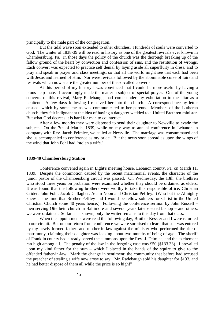principally to the male part of the congregation.

But the tidal wave soon extended to other churches. Hundreds of souls were converted to God. The winter of 1838-39 will be read in history as one of the greatest revivals ever known in Chambersburg, Pa. In those days the policy of the church was the thorough breaking up of the fallow ground of the heart by conviction and confession of sins, and the restitution of wrongs. Each convert was expected to practice self denial by laying aside all superfluity in dress, and to pray and speak in prayer and class meetings, so that all the world might see that each had been with Jesus and learned of Him. Nor were revivals followed by the abominable curse of fairs and festivals which now snare the greater number of the so-called converts.

At this period of my history I was convinced that I could be more useful by having a pious help-mate. I accordingly made the matter a subject of special prayer. One of the young converts of this revival, Mary Radebaugh, had come under my exhortation to the altar as a penitent. A few days following I received her into the church. A correspondence by letter ensued, which by some means was communicated to her parents. Members of the Lutheran church, they felt indignant at the idea of having a daughter wedded to a United Brethren minister. But what God decrees it is hard for man to counteract.

After a few months they were disposed to send their daughter to Newville to evade the subject. On the 7th of March, 1839, while on my way to annual conference in Lebanon in company with Rev. Jacob Felmlee, we called at Newville. The marriage was consummated and she us accompanied to conference as my bride. But the news soon spread as upon the wings of the wind that John Fohl had "stolen a wife."

#### **1839-40 Chambersburg Station**

Conference convened again in Light's meeting house, Lebanon county, Pa, on March 11, 1839. Despite the commotion caused by the recent matrimonial events, the character of the junior pastor of the Chambersburg circuit was passed. On Wednesday, the 13th, the brethren who stood three years on probation were examined whether they should be ordained as elders. It was found that the following brothers were worthy to take this responsible office: Christian Crider, John Fohl, Jacob Gallagher, Adam Noon and Christian Peffley. (Who but the Almighty knew at the time that Brother Peffley and I would be fellow soldiers for Christ in the United Christian Church some 40 years hence.) Following the conference sermon by John Russell – then serving Otterbein church in Baltimore and several years later elected bishop – and others, we were ordained. So far as is known, only the writer remains to this day from that class.

When the appointments were read the following day, Brother Kessler and I were returned to our circuit. But on our return from conference we were surprised to learn that suit was entered by my newly-formed father- and mother-in-law against the minister who performed the rite of matrimony, claiming their daughter was lacking about two months of being of age. The sheriff of Franklin county had already served the summons upon the Rev. J. Felmlee, and the excitement ran high among all. The penalty of the law in the forgoing case was £50 (\$133.33). I prevailed upon my kind father for the sum – which I placed in the hands of the squire to give to the offended father-in-law. Mark the change in sentiment: the community that before had accused the preacher of stealing a wife now arose to say, "Mr. Radebaugh sold his daughter for \$133, and he had better dispose of them all while the price is so high!"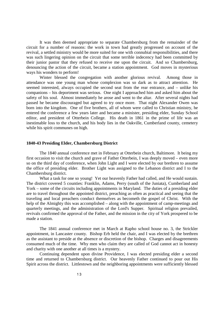It was then deemed appropriate to separate Chambersburg from the remainder of the circuit for a number of reasons: the work in town had greatly progressed on account of the revival, a settled ministry would be more suited for one with connubial responsibilities, and there was such lingering opinion on the circuit that some terrible indecency had been committed by their junior pastor that they refused to receive me upon the circuit. And so Chambersburg, denouncing the action of the circuit, became a station appointment. God moves in mysterious ways his wonders to perform!

Winter blessed the congregation with another glorious revival. Among those in attendance was one young man whose complexion was so dark as to attract attention. He seemed interested, always occupied the second seat from the rear entrance, and – unlike his companions – his deportment was serious. One night I approached him and asked him about the safety of his soul. Almost immediately he arose and went to the altar. After several nights had passed he became discouraged but agreed to try once more. That night Alexander Owen was born into the kingdom. One of five brothers, all of whom were called to Christian ministry, he entered the conference a few years later and became a minister, presiding elder, Sunday School editor, and president of Otterbein College. His death in 1861 in the prime of life was an inestimable loss to the church, and his body lies in the Oakville, Cumberland county, cemetery while his spirit communes on high.

#### **1840-43 Presiding Elder, Chambersburg District**

The 1840 annual conference met in February at Otterbein church, Baltimore. It being my first occasion to visit the church and grave of Father Otterbein, I was deeply moved – even more so on the third day of conference, when John Light and I were elected by our brethren to assume the office of presiding elder. Brother Light was assigned to the Lebanon district and I to the Chambersburg district.

What a task for one so young! Yet our heavenly Father had called, and He would sustain. The district covered 5 counties: Franklin, Adams, Perry (south of the Juniata), Cumberland and York – some of the circuits including appointments in Maryland. The duties of a presiding elder are to travel throughout the appointed district, preaching as often as practical and seeing that the traveling and local preachers conduct themselves as becometh the gospel of Christ. With the help of the Almighty this was accomplished – along with the appointment of camp-meetings and quarterly meetings, and the administration of the Lord's Supper. Spiritual religion prevailed, revivals confirmed the approval of the Father, and the mission in the city of York prospered to be made a station.

The 1841 annual conference met in March at Rapho school house no. 3, the Strickler appointment, in Lancaster county. Bishop Erb held the chair, and I was elected by the brethren as the assistant to preside at the absence or discretion of the bishop. Charges and disagreements consumed much of the time. Why men who claim they are called of God cannot act in honesty and charity with one another at all times is a mystery.

Continuing dependent upon divine Providence, I was elected presiding elder a second time and returned to Chambersburg district. Our heavenly Father continued to pour out His Spirit across the district. Littlestown and the neighboring appointments were sufficiently blessed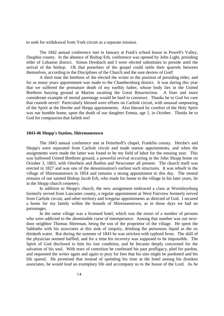to seek for withdrawal from York circuit as a separate mission.

The 1842 annual conference met in January at Funk's school house in Powell's Valley, Dauphin county. In the absence of Bishop Erb, conference was opened by John Light, presiding elder of Lebanon district. Simon Dresbach and I were elected substitutes to preside until the arrival of the bishop. Oh that preachers of the gospel could settle their quarrels between themselves, according to the Disciplines of the Church and the sure desires of God!

A third time the brethren of the elected the writer to the position of presiding elder, and for as many years appointment was made to the Chambersburg district. It was during this year that we suffered the premature death of my earthly father, whose body lies in the United Brethren burying ground at Marion awaiting the Great Resurrection. A finer and more considerate example of mortal parentage would be hard to construct. Thanks be to God for care that ceaseth never! Particularly blessed were efforts on Carlisle circuit, with unusual outpouring of the Spirit at the Hershe and Shopp appointments. Also blessed by comfort of the Holy Spirit was our humble home, upon the death of our daughter Emma, age 1, in October. Thanks be to God for compassion that faileth not!

#### **1843-46 Shopp's Station, Shiremanstown**

The 1843 annual conference met at Fetterhoff's chapel, Franklin county. Hershe's and Shopp's were separated from Carlisle circuit and made station appointments, and when the assignments were made the latter was found to be my field of labor for the ensuing year. This was hallowed United Brethren ground, a powerful revival occurring in the John Shopp home on October 3, 1803, with Otterbein and Boehm and Newcomer all present. The church itself was erected in 1827 and was one of the denomination's earliest such structures. It was rebuilt in the village of Shiremanstown in 1854 and remains a strong appointment to this day. The mortal remains of our sainted Bishop Jacob Erb, who made his home in the village in his later years, lie in the Shopp church cemetery.

In addition to Shopp's church, the new assignment embraced a class at Wormleysburg formerly served from Lancaster county, a regular appointment at West Fairview formerly served from Carlisle circuit, and other territory and irregular appointments as directed of God. I secured a home for my family within the bounds of Shiremanstown, as in those days we had no parsonages.

 In the same village was a licensed hotel, which was the resort of a number of persons who were addicted to the abominable curse of intemperance. Among that number was our nextdoor neighbor Thomas Shireman, being the son of the proprietor of the village. He spent the Sabbaths with his associates at this sink of iniquity, drinking the poisonous liquid as the ox drinketh water. But during the summer of 1843 he was stricken with typhoid fever. The skill of the physician seemed baffled, and for a time his recovery was supposed to be impossible. The Spirit of God disclosed to him his lost condition, and he became deeply concerned for the salvation of his soul. With tears of contrition he confessed his past profligacy, pled for pardon, and requested the writer again and again to pray for him that his sins might be pardoned and his life spared. He promised that instead of spending his time at the hotel among his drunken associates, he would lead an exemplary life and accompany us to the house of the Lord. As he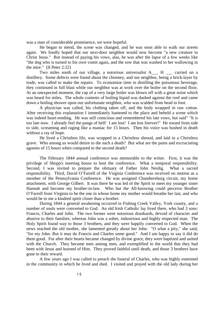was a man of considerable prominence, we were hopeful.

He began to mend, the scene was changed, and he was soon able to walk our streets again. We fondly hoped that our next-door neighbor would now become "a new creature in Christ Jesus." But instead of paying his vows, alas, he was after the lapse of a few weeks like "the dog who is turned to his own vomit again, and the sow that was washed to her wallowing in the mire." (II Peter 2:22)

Two miles south of our village, a notorious universalist A\_\_\_ H \_\_\_ carried on a distillery. Some defects were found about the chimney, and our neighbor, being a brick-layer by trade, was called to make the repairs. To economize time in distilling the poisonous beverage, they continued in full blast while our neighbor was at work over the boiler on the second floor. At an unexpected moment, the cap of a very large boiler was blown off with a great noise which was heard for miles. The whole contents of boiling liquid was dashed against the roof and came down a boiling shower upon our unfortunate neighbor, who was scalded from head to foot.

A physician was called, his clothing taken off, and the body wrapped in raw cotton. After receiving this explanation I immediately hastened to the place and beheld a scene which was indeed heart-rending. He was still conscious and remembered his late vows, but said" "It is too late now. I already feel the pangs of hell! I am lost! I am lost forever!" He tossed from side to side, screaming and raging like a maniac for 15 hours. Then his voice was hushed in death without a ray of hope.

He lived a Christless life, was wrapped in a Christless shroud, and laid in a Christless grave. Who among us would desire to die such a death? But what are the pains and excruciating agonies of 15 hours when compared to the second death?

The February 1844 annual conference was memorable to the writer. First, it was the privilege of Shopp's meeting house to host the conference. What a temporal responsibility. Second, I was invited to prepare the obituary of Father John Neidig. What a sacred responsibility. Third, David O'Farrell of the Virginia Conference was received on motion as a member of the Pennsylvania Conference. He was assigned Chambersburg circuit, my home attachment, with George Gilbert. It was there he was led of the Spirit to meet my younger sister Hannah and become my brother-in-law. Who but the All-knowing could perceive Brother O'Farrell from Virginia to be the one in whose home my mother would breathe her last, and who would be to me a kindred spirit closer than a brother.

During 1844 a general awakening occurred in Fishing Creek Valley, York county, and a number of souls were converted to God. An old Irish Catholic lay lived there, who had 3 sons: Francis, Charles and John. The two former were notorious drunkards, devoid of character and abusive to their families; whereas John was a sober, industrious and highly respected man. The Holy Spirit found way to those 3 brothers, and they were happily converted to God. When the news reached the old mother, she lamented greatly about her John. "O what a pity," she said, "for my John. But it may do Francis and Charles some good." And I am happy to say it did do them good. For after their hearts became changed by divine grace, they were baptized and united with the Church. They became men among men, and exemplified to the world that they had been with Jesus and learned of Him. They proved faithful until death, and those 3 brothers have gone to their reward.

A few years ago I was called to preach the funeral of Charles, who was highly esteemed in the community in which he lived and died. I visited and prayed with the old lady during her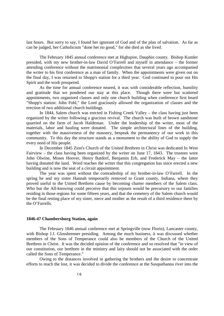last hours. But sorry to say, I found her ignorant of God and of the plan of salvation. As far as can be judged, her Catholicism "done her no good," for she died as she lived.

The February 1845 annual conference met at Highspire, Dauphin county. Bishop Kumler presided, with my new brother-in-law David O'Farrell and myself in attendance – the former attending conference without the matrimonial complexities that several years ago accompanied the writer to his first conference as a man of family. When the appointments were given out on the final day, I was returned to Shopp's station for a third year. God continued to pour out His Spirit and the work prospered.

As the time for annual conference neared, it was with considerable reflection, humility and gratitude that we pondered our stay at this place. Though there were but scattered appointments, two organized classes and only one church building when conference first heard "Shopp's station: John Fohl," the Lord graciously allowed the organization of classes and the erection of two additional church buildings.

In 1844, Salem church was erected in Fishing Creek Valley – the class having just been organized by the writer following a gracious revival. The church was built of brown sandstone quarried on the farm of Jacob Haldeman. Under the leadership of the writer, most of the materials, labor and hauling were donated. The simple architectural lines of the building, together with the massiveness of the masonry, bespeak the permanency of our work in this community. To this day the structure stands as a monument to the ability of God to supply the every need of His people.

In December 1845 Zion's Church of the United Brethren in Christ was dedicated In West Fairview – the class having been organized by the writer on June 17, 1843. The trustees were John Olwine, Moses Hoover, Henry Batdorf, Benjamin Erb, and Frederick May – the latter having donated the land. Word reaches the writer that this congregation has since erected a new building and is now the seat of a circuit appointment.

The year was spent without the comradeship of my brother-in-law O'Farrell. In the spring he and my sister Hannah temporarily removed to Grant county, Indiana, where they proved useful to the United Brethren cause by becoming charter members of the Salem class. Who but the All-knowing could perceive that this sojourn would be precursory to our families residing in those regions for some fifteen years, and that the cemetery of the Salem church would be the final resting place of my sister, niece and mother as the result of a third residence there by the O'Farrells.

#### **1846-47 Chambersburg Station, again**

The February 1846 annual conference met at Springville (now Florin), Lancaster county, with Bishop J.J. Glossbrenner presiding. Among the much business, it was discussed whether members of the Sons of Temperance could also be members of the Church of the United Brethren in Christ. It was the decided opinion of the conference and so resolved that "in view of our constitution, our brethren in the ministry and laity should not be associated with the order called the Sons of Temperance."

Owing to the distances involved in gathering the brothers and the desire to concentrate efforts to reach the lost, it was decided to divide the conference at the Susquehanna river into the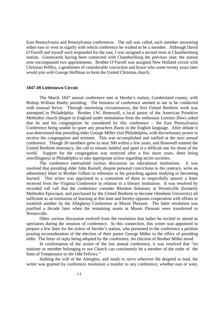East Pennsylvania and Pennsylvania conferences. The roll was called, each member answering either east or west to signify with which conference he wished to be a member. Although David O'Farrell and myself each responded for the east, I was assigned a second term at Chambersburg station. Greencastle having been connected with Chambersburg the previous year, the station now encompassed two appointments. Brother O'Farrell was assigned New Holland circuit with Christian Peffley, a gentlemen of considerable conviction and honor who some twenty years later would join with George Hoffman to form the United Christian church.

#### **1847-49 Littlestown Circuit**

The March 1847 annual conference met at Hershe's station, Cumberland county, with Bishop William Hanby presiding. The business of conference seemed to me to be conducted with unusual fervor. Through interesting circumstances, the first United Brethren work was attempted in Philadelphia. Brother J.W. Bonewell, a local pastor of the American Primitive Methodist church (begun in England under stimulation from the enthusiast Lorenzo Dow) asked that he and his congregation be considered by this conference – the East Pennsylvania Conference being unable to spare any preachers fluent in the English language. After debate it was determined that presiding elder George Miller visit Philadelphia, with discretionary power to receive the congregation and minister. This was accomplished and ratified at the next annual conference. Though 30 members grew to near 300 within a few years, and Bonewell entered the United Brethren itinerancy, the call to remain faithful and apart is a difficult one for those of the world. Support for the congregation was removed after a few more years, there being unwillingness in Philadelphia to take appropriate action regarding secret societies.

The conference entertained curious discussion on educational institutions. It was resolved that presiding elder John Russell, despite personal convictions to the contrary, write an admonitory letter to Brother Gilbert in reference to his preaching against studying or becoming learned. This writer was appointed to a committee of three to respectfully answer a letter received from the Virginia Conference in relation to a literary institution. It was resolved by recorded roll call that the conference consider Blendon Seminary at Westerville (formerly Methodist Episcopal, and purchased by the United Brethren to become Otterbein University) all sufficient as an institution of learning at this time and hereby opposes cooperation with efforts to establish another by the Allegheny Conference at Mount Pleasant. The latter resolution was justified a decade later when the remaining assets at Mount Pleasant were transferred to Westerville.

Other curious discussion evolved from the resolution that ladies be invited to attend as spectators during the sessions of conference. In this connection, this writer was appointed to prepare a few lines for the sisters of Hershe's station, who presented to the conference a petition praying reconsideration of the election of their pastor George Miller to the office of presiding elder. The letter of reply being adopted by the conference, the election of Brother Miller stood.

In confirmation of the action of the last annual conference, it was resolved that "no minister or member belonging to our Church can consistently be a member of the order of the Sons of Temperance or the Odd Fellows."

Seeking the will of the Almighty, and ready to serve wherever He deigned to lead, the writer was granted by conference resolution a transfer to any conference, whether east or west,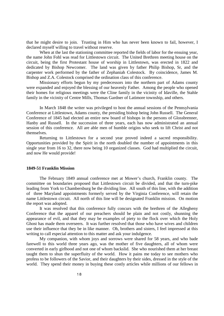that he might desire to join. Trusting in Him who has never been known to fail, however, I declared myself willing to travel without reserve.

When at the last the stationing committee reported the fields of labor for the ensuing year, the name John Fohl was read for Littlestown circuit. The United Brethren meeting house on the circuit, being the first Protestant house of worship in Littlestown, was erected in 1822 and dedicated by Bishop Newcomer. The land was given by father Philip Bishop, Sr, and the carpenter work performed by the father of Zephaniah Colestock. By coincidence, James M. Bishop and Z.A. Colestock comprised the ordination class of this conference.

Missionary efforts begun by my predecessors into the northern part of Adams county were expanded and enjoyed the blessing of our heavenly Father. Among the people who opened their homes for religious meetings were the Cline family in the vicinity of Idaville, the Stahle family in the vicinity of Centre Mills, Thomas Gardner of Latimore township, and others.

In March 1848 the writer was privileged to host the annual sessions of the Pennsylvania Conference at Littlestown, Adams county, the presiding bishop being John Russell. The General Conference of 1845 had elected an entire new board of bishops in the persons of Glossbrenner, Hanby and Russell. In the succession of three years, each has now administrated an annual session of this conference. All are able men of humble origins who seek to lift Christ and not themselves.

Returning to Littlestown for a second year proved indeed a sacred responsibility. Opportunities provided by the Spirit in the north doubled the number of appointments in this single year from 16 to 32, there now being 10 organized classes. God had multiplied the circuit, and now He would provide!

#### **1849-51 Franklin Mission**

The February 1849 annual conference met at Mower's church, Franklin county. The committee on boundaries proposed that Littlestown circuit be divided, and that the turn-pike leading from York to Chambersburg be the dividing line. All south of this line, with the addition of three Maryland appointments formerly served by the Virginia Conference, will retain the name Littlestown circuit. All north of this line will be designated Franklin mission. On motion the report was adopted.

It was resolved that this conference fully concurs with the brethren of the Allegheny Conference that the apparel of our preachers should be plain and not costly, shunning the appearance of evil, and that they may be examples of piety to the flock over which the Holy Ghost has made them overseers. It was further resolved that those who have wives and children use their influence that they be in like manner. Oh, brothers and sisters, I feel impressed at this writing to call especial attention to this matter and ask your indulgence.

My companion, with whom joys and sorrows were shared for 58 years, and who bade farewell to this world three years ago, was the mother of five daughters, all of whom were converted in early girlhood and not one of whom backslid. She who nourished them at her breast taught them to shun the superfluity of the world. How it pains me today to see mothers who profess to be followers of the Savior, and their daughters by their sides, dressed in the style of the world. They spend their money in buying these costly articles while millions of our fellows in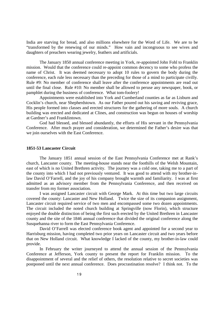India are starving for bread, and also millions elsewhere for the Word of Life. We are to be "transformed by the renewing of our minds." How vain and incongruous to see wives and daughters of preachers wearing jewelry, feathers and artificials.

The January 1850 annual conference meeting in York, re-appointed John Fohl to Franklin mission. Would that the conference could re-appoint common decency to some who profess the name of Christ. It was deemed necessary to adopt 10 rules to govern the body during the conference, each rule less necessary than the preceding for those of a mind to participate civilly. Rule #9: No member of conference shall leave after the conference appointments are read out until the final close. Rule #10: No member shall be allowed to peruse any newspaper, book, or pamphlet during the business of conference. What tom-foolery!

Appointments were established into York and Cumberland counties as far as Lisburn and Cocklin's church, near Shepherdstown. As our Father poured out his saving and reviving grace, His people formed into classes and erected structures for the gathering of more souls. A church building was erected and dedicated at Clines, and construction was begun on houses of worship at Gardner's and Franklintown.

God had blessed, and blessed abundantly, the efforts of His servant in the Pennsylvania Conference. After much prayer and consideration, we determined the Father's desire was that we join ourselves with the East Conference.

#### **1851-53 Lancaster Circuit**

The January 1851 annual session of the East Pennsylvania Conference met at Rank's church, Lancaster county. The meeting-house stands near the foothills of the Welsh Mountain, east of which is no United Brethren activity. The journey was a cold one, taking me to a part of the county into which I had not previously ventured. It was good to attend with my brother-inlaw David O'Farrell, and the joy of his company brought warmth and familiarity. I was at first admitted as an advisory member from the Pennsylvania Conference, and then received on transfer from my former association.

I was assigned Lancaster circuit with George Mark. At this time but two large circuits covered the county: Lancaster and New Holland. Twice the size of its companion assignment, Lancaster circuit required service of two men and encompassed some two dozen appointments. The circuit included the noted church building at Springville (now Florin), which structure enjoyed the double distinction of being the first such erected by the United Brethren in Lancaster county and the site of the 1846 annual conference that divided the original conference along the Susquehanna river to form the East Pennsylvania Conference.

David O'Farrell was elected conference book agent and appointed for a second year to Harrisburg mission, having completed two prior years on Lancaster circuit and two years before that on New Holland circuit. What knowledge I lacked of the county, my brother-in-law could provide.

In February the writer journeyed to attend the annual session of the Pennsylvania Conference at Jefferson, York county to present the report for Franklin mission. To the disappointment of several and the relief of others, the resolution relative to secret societies was postponed until the next annual conference. Does procrastination resolve? I think not. To the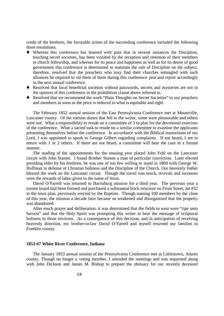credit of the brethren, the favorable action of the succeeding conference included the following three resolutions.

- Whereas this conference has learned with pain that in several instances the Discipline, touching secret societies, has been violated by the reception and retention of their members in church fellowship, and whereas for its peace and happiness as well as for its desire of good government this conference is determined to maintain the rule of Discipline on the subject, therefore, resolved that the preachers who may find their churches entangled with such alliances be required to rid them of them during this conference year and report accordingly to the next annual conference.
- Resolved that local beneficial societies without passwords, secrets and mysteries are not in the opinion of this conference in the prohibition clause above referred to.
- ◆ Resolved that we recommend the work "Plain Thoughts on Secret Societies" to our preachers and members as soon as the price is reduced to what is equitable and right.

The February 1852 annual session of the East Pennsylvania Conference met at Mountville, Lancaster county. Of the various duties that fell to the writer, some were pleasurable and others were not. What a responsibility to reside on a committee of 3 to plan for the devotional exercises of the conference. What a sacred task to reside on a similar committee to examine the applicants presenting themselves before the conference. In accordance with the Biblical instructions of our Lord, I was appointed to speak to George Gilbert regarding complaints. If not heard, I am to return with 1 or 2 others. If these are not heard, a committee will hear the case in a formal manner.

The reading of the appointments for the ensuing year placed John Fohl on the Lancaster circuit with John Stamm. I found Brother Stamm a man of particular conviction. Later elected presiding elder by his brethren, he was one of too few willing to stand in 1869 with George W. Hoffman in defense of Christian holiness and the Discipline of the Church. Our heavenly Father blessed the work on the Lancaster circuit. Though the travel was much, revivals and increases were the rewards of labor given in the name of Jesus.

David O'Farrell was returned to Harrisburg mission for a third year. The previous year a trustee board had been formed and purchased a substantial brick structure on Front Street, lot #52 in the town plan, previously erected by the Baptists. Though naming 100 members by the close of this year, the mission a decade later became so weakened and disorganized that the property was abandoned.

After much prayer and deliberation, it was determined that the fields to west were "ripe unto harvest" and that the Holy Spirit was prompting this writer to bear the message of scriptural holiness in those environs. As a consequence of this decision, and in anticipation of receiving heavenly direction, my brother-in-law David O'Farrell and myself returned our families to Franklin county.

#### **1853-67 White River Conference, Indiana**

The January 1853 annual session of the Pennsylvania Conference met at Littlestown, Adams county. Though no longer a voting member, I attended the meetings and was requested along with John Dickson and James M. Bishop to prepare the obituary for our recently deceased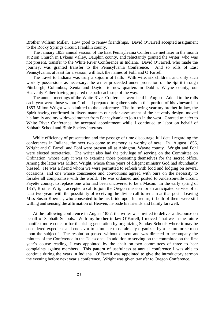Brother William Miller. How good to renew friendships. David O'Farrell accepted assignment to the Rocky Springs circuit, Franklin county.

The January 1853 annual session of the East Pennsylvania Conference met later in the month at Zion Church in Lykens Valley, Dauphin county, and reluctantly granted the writer, who was not present, transfer to the White River Conference in Indiana. David O'Farrell, who made the journey, was granted transfer to the Pennsylvania Conference. And so rolls of East Pennsylvania, at least for a season, will lack the names of Fohl and O'Farrell.

The travel to Indiana was truly a sojourn of faith. With wife, six children, and only such worldly possessions as necessary, the writer proceeded under protection of the Spirit through Pittsburgh, Columbus, Xenia and Dayton to new quarters in Dublin, Wayne county, our Heavenly Father having prepared the path each step of the way.

The annual meetings of the White River Conference were held in August. Added to the rolls each year were those whom God had prepared to gather souls in this portion of his vineyard. In 1853 Milton Wright was admitted to the conference. The following year my brother-in-law, the Spirit having confirmed in divers manners our prior assessment of the heavenly design, moved his family and my widowed mother from Pennsylvania to join us in the west. Granted transfer to White River Conference, he accepted appointment while I continued to labor on behalf of Sabbath School and Bible Society interests.

While efficiency of presentation and the passage of time discourage full detail regarding the conferences in Indiana, the next two come to memory as worthy of note. In August 1856, Wright and O'Farrell and Fohl were present all at Abington, Wayne county. Wright and Fohl were elected secretaries. The writer also had the privilege of serving on the Committee on Ordination, whose duty it was to examine those presenting themselves for the sacred office. Among the latter was Milton Wright, whose three years of diligent ministry God had abundantly blessed. He was a friend whom we were permitted to refresh with food and lodging on several occasions, and one whose conscience and convictions agreed with ours on the necessity to forsake all compromise with the world. He was ordained and posted to Andersonville circuit, Fayette county, to replace one who had been uncovered to be a Mason. In the early spring of 1857, Brother Wright accepted a call to join the Oregon mission for an anticipated service of at least two years with the possibility of receiving the divine call to remain at that post. Leaving Miss Susan Koerner, who consented to be his bride upon his return, if both of them were still willing and sensing the affirmation of Heaven, he bade his friends and family farewell.

At the following conference in August 1857, the writer was invited to deliver a discourse on behalf of Sabbath Schools. With my brother-in-law O'Farrell, I moved "that we in the future manifest more concern for the rising generation by organizing Sunday Schools where it may be considered expedient and endeavor to stimulate those already organized by a lecture or sermon upon the subject." The resolution passed without dissent and was directed to accompany the minutes of the Conference in the Telescope. In addition to serving on the committee on the first year's course reading, I was appointed by the chair on two committees of three to hear complaints against members. This pattern of usefulness at annual conference I was able to continue during the years in Indiana. O'Farrell was appointed to give the introductory sermon the evening before next year's conference. Wright was given transfer to Oregon Conference.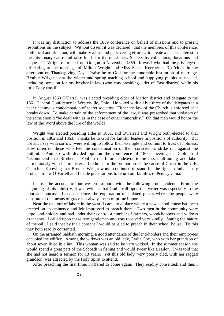It was my distinction to address the 1859 conference on behalf of missions and to present resolutions on the subject. Without dissent it was declared "that the members of this conference, both local and itinerant, will make zealous and persevering efforts…to create a deeper interest in the missionary cause and raise funds for the missionary Society by collections, donations and bequests." Wright returned from Oregon in November 1859. It was I who had the privilege of officiating at the marriage of Milton Wright and Miss Susan Koerner at 3 o'clock in the afternoon on Thanksgiving Day. Praise be to God for the honorable institution of marriage. Brother Wright spent the winter and spring teaching school and supplying pulpits as needed, including occasion for my brother-in-law (who was presiding elder of East district) while his little Eddy was ill.

In August 1860 O'Farrell was elected presiding elder of Marion district and delegate to the 1861 General Conference in Westerville, Ohio. He voted with all but three of the delegates in a near unanimous condemnation of secret societies. Either the law of the Church is enforced or it breaks down. To make certain of the enforcement of the law, it was prescribed that violators of the same should "be dealt with as in the case of other immorality." Oh that men would honor the law of the Word above the lure of the world!

Wright was elected presiding elder in 1861, and O'Farrell and Wright both elected to that position in 1862 and 1863. Thanks be to God for faithful leaders in positions of authority! But not all, I say with sorrow, were willing to follow their example and commit to lives of holiness. How often do those who feel the condemnation of their consciences strike out against the faithful. And so with divided opinion the conference of 1866, meeting in Dublin, did "recommend that Brother J. Fohl in the future endeavor to be less faultfinding and labor harmoniously with his ministerial brethren for the promotion of the cause of Christ in the U.B. Church." Knowing that Brother Wright would continued to stand for the right in Indiana, my brother-in-law O'Farrell and I made preparations to return our families to Pennsylvania.

I close the account of our western sojourn with the following true incident. From the beginning of his ministry, it was evident that God's call upon this writer was especially to the poor and outcast. In consequence, the exploration of isolated places where the people were destitute of the means of grace has always been of prime import.

Near the end our of labors in the west, I came to a place where a new school house had been erected on an eminence and felt impressed to preach there. Two men in the community were large land-holders and had under their control a number of farmers, woodchoppers and widows as tenants. I called upon these two gentlemen and was received very kindly. Stating the nature of the call, I said that by their consent I would be glad to preach in their school house. To this they both readily consented.

On the arranged Sabbath morning, a good attendance of the land-holders and their employees occupied the edifice. Among the widows was an old lady, Lydia Cox, who with her grandson of about seven lived in a hut. This woman was said to be very wicked. In the summer season she would spend a great part of the Sabbath in fishing and would swear like a sailor. I was told that she had not heard a sermon for 13 years. Yet this old lady, very poorly clad, with her ragged grandson, was attracted by the Holy Spirit to attend.

After preaching the first time, I offered to come again. They readily consented, and thus I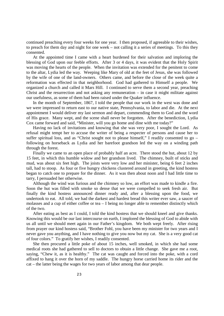continued preaching every four weeks for one year. I then proposed, if agreeable to their wishes, to preach for them day and night for one week – not calling it a series of meetings. To this they consented.

At the appointed time I came with a heart burdened for their salvation and imploring the blessing of God upon our feeble efforts. After 3 or 4 days, it was evident that the Holy Spirit was moving the hearts of the people. When the invitation was extended for the penitent to come to the altar, Lydia led the way. Weeping like Mary of old at the feet of Jesus, she was followed by the wife of one of the land-owners. Others came, and before the close of the week quite a reformation was effected in that neighborhood. God had gathered to Himself a people. We organized a church and called it Mars Hill. I continued to serve them a second year, preaching Christ and the resurrection and not asking any remuneration – in case it might militate against our usefulness, as some of them had been raised under the Quaker influence.

In the month of September, 1867, I told the people that our work in the west was done and we were impressed to return east to our native state, Pennsylvania, to labor and die. At the next appointment I would deliver my last sermon and depart, commending them to God and the word of His grace. Many wept, and the scene shall never be forgotten. After the benediction, Lydia Cox came forward and said, "Minister, will you go home and dine with me today?"

Having no lack of invitations and knowing that she was very poor, I sought the Lord. As refusal might tempt her to accuse the writer of being a respecter of persons and cause her to suffer spiritual loss, and as "Christ sought not to please himself," I readily consented to  $\alpha$ following on horseback as Lydia and her barefoot grandson led the way on a winding path through the forest.

Finally we came to an open place of probably half an acre. There stood the hut, about 12 by 15 feet, in which this humble widow and her grandson lived. The chimney, built of sticks and mud, was about six feet high. The joists were very low and her minister, being 6 feet 2 inches tall, had to stoop. As four or five hungry chickens clustered around in greeting, the kind hostess began to catch one to prepare for the dinner. As it was then about noon and I had little time to tarry, I persuaded her otherwise.

Although the wind was furious and the chimney so low, an effort was made to kindle a fire. Soon the hut was filled with smoke so dense that we were compelled to seek fresh air. But finally the kind hostess announced dinner ready and, after a blessing upon the food, we undertook to eat. All told, we had the darkest and hardest bread this writer ever saw, a saucer of molasses and a cup of either coffee or tea – I being no longer able to remember distinctly which of the two.

After eating as best as I could, I told the kind hostess that we should kneel and give thanks. Knowing this would be our last intercourse on earth, I implored the blessing of God to abide with us all until we should meet again in our Father's kingdom. We both wept freely. After rising from prayer our kind hostess said, "Brother Fohl, you have been my minister for two years and I never gave you anything, and I have nothing to give you now but my cat. She is a very good cat of four colors." To gratify her wishes, I readily consented.

She then procured a little poke of about 15 inches, well smoked, in which she had some medical roots she had gathered to sell to doctors to obtain a little change. She gave me a root, saying, "Chew it, as it is healthy." The cat was caught and forced into the poke, with a cord affixed to hang it over the horn of my saddle. The hungry horse carried home its rider and the cat – the latter being the wages for two years of labor among that dear people.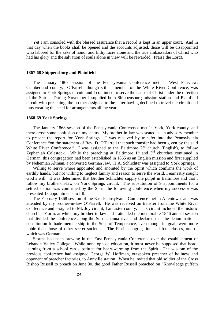Yet I am consoled with the blessed assurance that a record is kept in an upper court. And in that day when the books shall be opened and the accounts adjusted, those will be disappointed who labored for the sake of honor and filthy lucre alone and the true ambassadors of Christ who had his glory and the salvation of souls alone in view will be rewarded. Praise the Lord!.

#### **1867-68 Shippensburg and Plainfield**

The January 1867 session of the Pennsylvania Conference met at West Fairview, Cumberland county. O'Farrell, though still a member of the White River Conference, was assigned to York Springs circuit, and I continued to serve the cause of Christ under the direction of the Spirit. During November I supplied both Shippensburg mission station and Plainfield circuit with preaching, the brother assigned to the latter having declined to travel the circuit and thus creating the need for arrangements all the year.

#### **1868-69 York Springs**

The January 1868 session of the Pennsylvania Conference met in York, York county, and there arose some confusion on my status. My brother-in-law was seated as an advisory member to present the report for York Springs. I was received by transfer into the Pennsylvania Conference "on the statement of Rev. D. O'Farrell that such transfer had been given by the said White River Conference." I was assigned to the Baltimore  $2<sup>nd</sup>$  church (English), to follow Zephaniah Colestock. While the preaching at Baltimore  $1<sup>st</sup>$  and  $3<sup>rd</sup>$  churches continued in German, this congregation had been established in 1855 as an English mission and first supplied by Nehemiah Altman, a converted German Jew. H.A. Schlichter was assigned to York Springs.

Willing to serve where appointed and anointed by the Spirit which confirms the work of earthly hands, but not willing to neglect family and reason to serve the world, I earnestly sought God's will. It was determined that Brother Schlichter supply the pulpit in Baltimore and that I follow my brother-in-law on York Springs circuit. The substitution of 9 appointments for a settled station was confirmed by the Spirit the following conference when my successor was presented 13 appointments to fill.

The February 1868 session of the East Pennsylvania Conference met in Allentown and was attended by my brother-in-law O'Farrell. He was received on transfer from the White River Conference and assigned to Mt. Joy circuit, Lancaster county. This circuit included the historic church at Florin, at which my brother-in-law and I attended the memorable 1846 annual session that divided the conference along the Susquehanna river and declared that the denominational constitution forbade membership in the Sons of Temperance, even though its goals were more noble than those of other secret societies. The Florin congregation had four classes, one of which was German.

Storms had been brewing in the East Pennsylvania Conference over the establishment of Lebanon Valley College. While none oppose education, it must never be supposed that headlearning from a school can substitute for heart-warming from the Spirit. The wisdom of the previous conference had assigned George W. Hoffman, outspoken preacher of holiness and opponent of preacher factories, to Annville station. When he invited that old soldier of the Cross Bishop Russell to preach on June 30, the good Father Russell preached on "Knowledge puffeth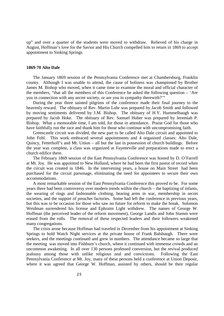up" and over a quarter of the students were moved to withdraw. Relieved of his charge in August, Hoffman's love for the Savior and His Church compelled him to return in 1869 to accept appointment to Sinking Springs.

#### **1869-70 Alto Dale**

The January 1869 session of the Pennsylvania Conference met at Chambersburg, Franklin county. Although I was unable to attend, the cause of holiness was championed by Brother James M. Bishop who moved, when it came time to examine the moral and official character of the members, "that all the members of this Conference be asked the following question – 'Are you in connection with any secret society, or are you in sympathy therewith?'"

During the year three sainted pilgrims of the conference made their final journey to the heavenly reward. The obituary of Rev. Martin Lohr was prepared by Jacob Smith and followed by moving sentiments delivered by J.M. Bishop. The obituary of H.Y. Hummelbaugh was prepared by Jacob Hoke. The obituary of Rev. Samuel Huber was prepared by Jeremiah P. Bishop. What a memorable time, I am told, for those in attendance. Praise God for those who have faithfully run the race and thank him for those who continue with uncompromising faith.

Greencastle circuit was divided, the new part to be called Alto Dale circuit and appointed to John Fohl. This work embraced several appointments and 4 organized classes: Alto Dale, Quincy, Fetterhoff's and Mt. Union – all but the last in possession of church buildings. Before the year was complete, a class was organized at Fayetteville and preparations made to erect a church edifice there.

The February 1869 session of the East Pennsylvania Conference was hosted by D. O'Farrell at Mt. Joy. He was appointed to New Holland, where he had been the first pastor of record when the circuit was created in 1846. In the intervening years, a house on Main Street had been purchased for the circuit parsonage, eliminating the need for appointees to secure their own accommodations.

A most remarkable session of the East Pennsylvania Conference this proved to be. For some years there had been controversy over modern trends within the church – the baptizing of infants, the wearing of rings and fashionable clothing, bearing arms in war, membership in secret societies, and the support of preacher factories. Some had left the conference in previous years, but this was to be occasion for those who saw no future for reform to make the break. Solomon Weidman surrendered his license and Ephraim Light withdrew. The names of George W. Hoffman (the perceived leader of the reform movement), George Landis and John Stamm were erased from the rolls. The removal of these respected leaders and their followers weakened many congregations.

The crisis arose because Hoffman had traveled in December from his appointment at Sinking Springs to hold Watch Night services at the private house of Frank Balsbaugh. There were seekers, and the meetings continued and grew in numbers. The attendance became so large that the meeting was moved into Fishburn's church, where it continued with immense crowds and an uncommon awakening. In all over 130 persons professed conversion, but the revival produced jealousy among those with unlike religious zeal and convictions. Following the East Pennsylvania Conference at Mt. Joy, many of these persons held a conference at Union Deposit, where it was agreed that George W. Hoffman, assisted by others, should be their regular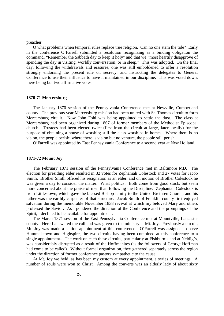preacher.

O what problems when temporal rules replace true religion. Can no one stem the tide? Early in the conference O'Farrell submitted a resolution recognizing as a binding obligation the command, "Remember the Sabbath day to keep it holy" and that we "most heartily disapprove of spending the day in visiting, worldly conversation, or in sleep." This was adopted. On the final day, following the withdrawals and erasures, one was still emboldened to offer a resolution strongly endorsing the present rule on secrecy, and instructing the delegates to General Conference to use their influence to have it maintained in our discipline. This was voted down, there being but two affirmative votes.

#### **1870-71 Mercersburg**

The January 1870 session of the Pennsylvania Conference met at Newville, Cumberland county. The previous year Mercersburg mission had been united with St. Thomas circuit to form Mercersburg circuit. Now John Fohl was being appointed to settle the dust. The class at Mercersburg had been organized during 1867 of former members of the Methodist Episcopal church. Trustees had been elected twice (first from the circuit at large, later locally) for the purpose of obtaining a house of worship; still the class worships in homes. Where there is no vision, the people perish; where there is vision but no venture, the people still perish.

O'Farrell was appointed by East Pennsylvania Conference to a second year at New Holland.

#### **1871-72 Mount Joy**

The February 1871 session of the Pennsylvania Conference met in Baltimore MD. The election for presiding elder resulted in 32 votes for Zephaniah Colestock and 27 votes for Jacob Smith. Brother Smith offered his resignation as an elder, and on motion of Brother Colestock he was given a day to consider the matter. What politics! Both come from good stock, but seem more concerned about the praise of men than following the Discipline. Zephaniah Colestock is from Littlestown, which gave the blessed Bishop family to the United Brethren Church, and his father was the earthly carpenter of that structure. Jacob Smith of Franklin county first enjoyed salvation during the memorable November 1838 revival at which my beloved Mary and others professed the Savior. As I pondered the direction of the Conference and the promptings of the Spirit, I declined to be available for appointment.

The March 1871 session of the East Pennsylvania Conference met at Mountville, Lancaster county. Here I answered the call and was given to the ministry at Mt. Joy. Previously a circuit, Mt. Joy was made a station appointment at this conference. O'Farrell was assigned to serve Hummelstown and Highspire, the two circuits having been combined at this conference to a single appointment.. The work on each these circuits, particularly at Fishburn's and at Neidig's, was considerably disrupted as a result of the Hoffmanites (as the followers of George Hoffman had come to be called). Without formal organization, they gathered separately across the region under the direction of former conference pastors sympathetic to the cause.

At Mt. Joy we held, as has been my custom at every appointment, a series of meetings. A number of souls were won to Christ. Among the converts was an elderly lady of about sixty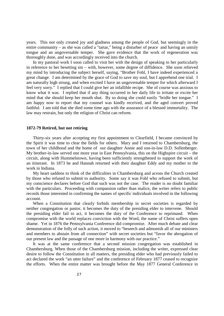years. This not only created joy and gladness among the people of God, but seemingly in the entire community – as she was called a "tartar," being a disturber of peace and having an unruly tongue and an ungovernable temper. She gave evidence that the work of regeneration was thoroughly done, and was accordingly received into the church.

In my pastoral work I soon called to visit her with the design of speaking to her particularly in reference to her besetting sin – with, however, some degree of diffidence. She soon relieved my mind by introducing the subject herself, saying, "Brother Fohl, I have indeed experienced a great change. I am determined by the grace of God to save my soul, but I apprehend one trial. I am naturally high strung, and when excited I have an ungovernable temper for which afterward I feel very sorry." I replied that I could give her an infallible recipe. She of course was anxious to know what it was. I replied that if any thing occurred in her daily life to irritate or excite her mind that she should keep her mouth shut. By so doing she could easily "bridle her tongue." I am happy now to report that my counsel was kindly received, and the aged convert proved faithful. I am told that she died some time ago with the assurance of a blessed immortality. The law may restrain, but only the religion of Christ can reform.

#### **1872-79 Retired, but not retiring**

Thirty-six years after accepting my first appointment to Clearfield, I became convinced by the Spirit it was time to clear the fields for others. Mary and I returned to Chambersburg, the town of her childhood and the home of our daughter Annie and son-in-law D.D. Sollenberger. My brother-in-law served one more year in East Pennsylvania, this on the Highspire circuit – the circuit, along with Hummelstown, having been sufficiently strengthened to support the work of an itinerant. In 1873 he and Hannah returned with their daughter Eddy and my mother to the work in Indiana.

My heart saddens to think of the difficulties in Chambersburg and across the Church created by those who refused to submit to authority. Some say it was Fohl who refused to submit, but my conscience declares before God that such was not the case. The reader is no doubt familiar with the particulars. Proceeding with compassion rather than malice, the writer refers to public records those interested in confirming the names of specific individuals involved in the following account.

When a Constitution that clearly forbids membership in secret societies is regarded by neither congregation or pastor, it becomes the duty of the presiding elder to intervene. Should the presiding elder fail to act, it becomes the duty of the Conference to reprimand. When compromise with the world replaces conviction with the Word, the name of Christ suffers open shame. Yet in 1876 the Pennsylvania Conference did compromise. After much debate and clear demonstration of the folly of such action, it moved to "beseech and admonish all of our ministers and members to abstain from all connection" with secret societies but "favor the abrogation of our present law and the passage of one more in harmony with our practice."

It was at the same conference that a second mission congregation was established in Chambersburg. When those of the Chambersburg mission, including the writer, expressed clear desire to follow the Constitution in all matters, the presiding elder who had previously failed to act declared the work "an utter failure" and the conference of February 1877 ceased to recognize the efforts. When the entire matter was brought before the May 1877 General Conference in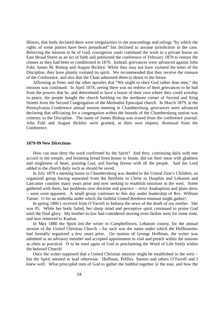Illinois, that body declared there were irregularities in the proceedings and rulings "by which the rights of some parties have been prejudiced" but declined to assume jurisdiction in the case. Believing the mission to be of God, courageous souls continued the work in a private house on East Broad Street as an act of faith and petitioned the conference of February 1878 to restore the classes as they had been so conditioned in 1876. Instead, grievances were advanced against John Fohl, James M. Bishop and August Bickley: While they may not have violated the letter of the Discipline, they have plainly violated its spirit. We recommended that they receive the censure of the Conference, and also that the Chair admonish them to desist in the future.

Affirming as Peter and the other apostles that "We ought to obey God rather than men," the mission was continued. In April 1878, seeing there was no redress of their grievances to be had from the powers that be, and determined to have a house of their own where they could worship in peace, the people bought the church building on the northeast corner of Second and King Streets from the Second Congregation of the Methodist Episcopal church. In March 1879, at the Pennsylvania Conference annual session meeting in Chambersburg, grievances were advanced declaring that officiating for a congregation within the bounds of the Chambersburg station was contrary to the Discipline. The name of James Bishop was erased from the conference journal. John Fohl and August Bickley were granted, at their own request, dismissal from the Conference.

#### **1879-99 New Directions**

How can man deny the work confirmed by the Spirit? And they, continuing daily with one accord in the temple, and breaking bread from house to house, did eat their meat with gladness and singleness of heart, praising God, and having favour with all the people. And the Lord added to the church daily such as should be saved.

In July 1879 a meeting house in Chambersburg was deeded to the United Zion's Children, an organized group having separated from the Brethren in Christ in Dauphin and Lebanon and Lancaster counties many years prior and now seeking to establish missions in the west. Some gathered with them, but problems over doctrine and practice – strict Anabaptism and plain dress – were soon apparent. A small group continues to this day under leadership of Rev. William Tarner. O for an umbrella under which the faithful United Brethren remnant might gather!.

In spring 1880 I received from O'Farrell in Indiana the news of the death of my mother. She was 95. While her body failed, her sharp mind and perceptive spirit continued to praise God until the final glory. My brother-in-law had considered moving even farther west for some time, and now removed to Kansas.

In May 1880 the Spirit led the writer to Campbelltown, Lebanon county, for the annual session of the United Christian Church – for such was the name under which the Hoffmanites had formally organized a few years prior. On motion of George Hoffman, the writer was admitted as an advisory member and accepted appointment to visit and preach within the stations as often as practical. O to be used again of God in proclaiming the Word of Life freely within the beloved Church!

Once the writer supposed that a United Christian mission might be established in the west – but the Spirit seemed to lead otherwise. Hoffman, Peffley, Stamm and others O'Farrell and I knew well. What principled men of God to gather the faithful together in the east, and how the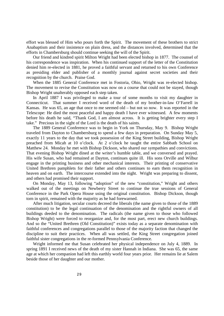effort was blessed of Him who pours forth the Spirit. The movement of these brothers to strict Anabaptism and their insistence on plain dress, and the distances involved, determined that the efforts in Chambersburg should continue seeking the will of the Spirit.

Our friend and kindred spirit Milton Wright had been elected bishop in 1877. The counsel of his correspondence was inspiration. When his continued support of the letter of the Constitution denied him re-elected in 1881, he proved a faithful servant and returned to his own Conference as presiding elder and publisher of a monthly journal against secret societies and their recognition by the church. Praise God.

When the 1885 General Conference met in Fostoria, Ohio, Wright was re-elected bishop. The movement to revise the Constitution was now on a course that could not be stayed, though Bishop Wright unalterably opposed each step taken.

In April 1887 I was privileged to make a tour of some months to visit my daughter in Connecticut. That summer I received word of the death of my brother-in-law O'Farrell in Kansas. He was 65, an age that once to me seemed old – but not so now. It was reported in the Telescope: He died the most peaceful and happy death I have ever witnessed. A few moments before his death he said, "Thank God, I am almost across. It is getting brighter every step I take." Precious in the sight of the Lord is the death of his saints.

The 1889 General Conference was to begin in York on Thursday, May 9. Bishop Wright traveled from Dayton to Chambersburg to spend a few days in preparation. On Sunday May 5, exactly 11 years to the day that we took possession of the King Street building, Bishop Wright preached from Micah at 10 o'clock. At 2 o'clock he taught the entire Sabbath School on Matthew 24. Monday he met with Bishop Dickson, who shared our sympathies and convictions. That evening Bishop Wright dined at the writer's humble table, and we conversed and prayed. His wife Susan, who had remained at Dayton, continues quite ill. His sons Orville and Wilbur engage in the printing business and other mechanical interests. Their printing of conservative United Brethren pamphlets for their father and others continues to earn them recognition in heaven and on earth. The intercourse extended into the night. Wright was preparing to dissent, and others had promised their support.

On Monday, May 13, following "adoption" of the new "constitution," Wright and others walked out of the meetings on Newberry Street to continue the true sessions of General Conference in the Park Opera House using the original constitution. Bishop Dickson, though torn in spirit, remained with the majority as he had forewarned.

After much litigation, secular courts decreed the liberals (the name given to those of the 1889 constitution) to be the legal continuation of the denomination and the rightful owners of all buildings deeded to the denomination. The radicals (the name given to those who followed Bishop Wright) were forced to reorganize and, for the most part, erect new church buildings. And so the "United Brethren (Old Constitution)" exists today as a separate denomination with faithful conferences and congregations parallel to those of the majority faction that changed the discipline to suit their practices. When all was settled, the King Street congregation joined faithful sister congregations in the re-formed Pennsylvania Conference.

Wright informed me that Susan celebrated her physical independence on July 4, 1889. In spring 1891 I received news of the death of my sister Hannah in Indiana. She was 65, the same age at which her companion had left this earthly world four years prior. Her remains lie at Salem beside those of her daughter and our mother.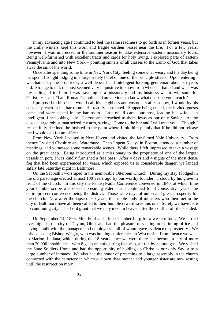In my advancing age I continued to feel the same readiness to go forth as in former years, but the chilly winters kept this worn and fragile earthen vessel near the fire. For a few years, however, I was impressed in the summer season to take extensive eastern missionary tours. Being well-furnished with excellent tracts and cards for holy living, I explored parts of eastern Pennsylvania and into New York – pointing sinners of all classes to the Lamb of God that takes away the sin of the world.

Once after spending some time in New York City, feeling somewhat weary and the day being far spent, I sought lodging in a large stately hotel on one of the principle streets. Upon entering I was hailed by the proprietor, a well-dressed and intelligent-looking gentleman about 35 years old. Strange to tell, the host seemed very inquisitive to know from whence I hailed and what was my calling. I told him I was traveling as a missionary and my business was to win souls for Christ. He said, "I am Roman Catholic and am anxious to know what doctrine you preach."

I proposed to him if he would call his neighbors and customers after supper, I would by his consent preach in his bar room. He readily consented. Supper being ended, the invited guests came and were seated in the bar room. Last of all came our host, leading his wife – an intelligent, fine-looking lady. I arose and preached to them Jesus as our only Savior. At the close a large robust man seized my arm, saying, "Come to the bar and I will treat you." Though I respectfully declined, he insisted to the point where I told him plainly that if he did not release me I would call for an officer.

From New York I passed to New Haven and visited the far-famed Yale University. From thence I visited Cheshire and Waterbury. Then I spent 5 days in Boston, attended a number of meetings, and witnessed some remarkable scenes. While there I felt impressed to take a voyage on the great deep. Being introduced as a missionary to the proprietor of one of the largest vessels in port, I was kindly furnished a free pass. After 4 days and 4 nights of the most dense fog that had been experienced for years, which exposed us to considerable danger, we landed safely late Saturday night in Baltimore.

On the Sabbath I worshiped in the memorable Otterbein Church. During my stay I lodged in the old parsonage erected almost 100 years ago by our worthy founder. I stood by his grave in front of the church. In this city the Pennsylvania Conference convened in 1840, at which time your humble scribe was elected presiding elder – and continued for 3 consecutive years, the entire present conference being the district. Those were days of union and great prosperity for the church. Now after the lapse of 60 years, that noble body of ministers who then met in the city of Baltimore have all been called to their humble reward save this one. Surely we have here no continuing city. The Lord grant that we may meet in heaven after the conflict of life is ended.

On September 11, 1895, Mrs. Fohl and I left Chambersburg for a western tour. We tarried over night in the city of Dayton, Ohio, and had the pleasure of visiting our printing office and having a talk with the managers and employees – all of whom gave evidence of prosperity. We missed seeing Bishop Wright, who was holding conferences in Wisconsin. From thence we went to Marion, Indiana, which during the 18 years since we were there has become a city of more than 20,000 inhabitants – with 8 glass manufacturing factories, all run by natural gas. We visited the State Soldiers Home and had the opportunity of holding up Christ as our only Savior to a large number of inmates. We also had the honor of preaching to a large assembly in the church connected with the cemetery in which our own dear mother and younger sister are now resting until the resurrection morn.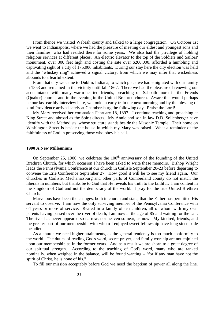From thence we visited Wabash county and talked to a large congregation. On October 1st we went to Indianapolis, where we had the pleasure of meeting our eldest and youngest sons and their families, who had resided there for some years. We also had the privilege of holding religious services at different places. An electric elevator to the top of the Soldiers and Sailors' monument, over 300 feet high and costing the sate over \$200,000, afforded a humbling and captivating sight of a city of 175,000 inhabitants. During our stay here the city election was held and the "whiskey ring" achieved a signal victory, from which we may infer that wickedness abounds to a fearful extent.

From that city we came to Dublin, Indiana, to which place we had emigrated with our family in 1853 and remained in the vicinity until fall 1867. There we had the pleasure of renewing our acquaintance with many warm-hearted friends, preaching on Sabbath morn in the Friends (Quaker) church, and in the evening in the United Brethren church. Aware this would perhaps be our last earthly interview here, we took an early train the next morning and by the blessing of kind Providence arrived safely at Chambersburg the following day. Praise the Lord!

My Mary received her coronation February 18, 1897. I continue teaching and preaching at King Street and abroad as the Spirit directs. My Annie and son-in-law D.D. Sollenberger have identify with the Methodists, whose structure stands beside the Masonic Temple. Their home on Washington Street is beside the house in which my Mary was raised. What a reminder of the faithfulness of God in preserving those who obey his call.

#### **1900 A New Millennium**

On September 25, 1900, we celebrate the  $100<sup>th</sup>$  anniversary of the founding of the United Brethren Church, for which occasion I have been asked to write these memoirs. Bishop Wright leads the Pennsylvania Conference at our church in Carlisle September 20-23 before departing to convene the Erie Conference September 27. How good it will be to see my friend again. Our churches in Carlisle, Mechanicsburg and other parts of Cumberland county do not match the liberals in numbers, but thanks be to God that He reveals his truth to the faithful. I am content in the kingdom of God and not the democracy of the world. I pray for the true United Brethren Church.

Marvelous have been the changes, both in church and state, that the Father has permitted His servant to observe. I am now the only surviving member of the Pennsylvania Conference with 64 years or more of service. Reared in a family of ten children, all of whom with my dear parents having passed over the river of death, I am now at the age of 85 and waiting for the call. The river has never appeared so narrow, nor heaven so near, as now. My kindred, friends, and the greater part of our membership with whom I enjoyed sweet fellowship have long since bade me adieu.

As a church we need higher attainments, as the general tendency is too much conformity to the world. The duties of reading God's word, secret prayer, and family worship are not enjoined upon our membership as in the former years. And as a result we are shorn to a great degree of our spiritual strength. According to the teaching of God's word, many who are ranked nominally, when weighed in the balance, will be found wanting – "for if any man have not the spirit of Christ, he is none of his."

To fill our mission acceptably before God we need the baptism of power all along the line.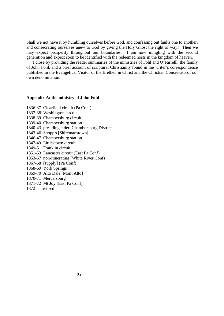Shall we not have it by humbling ourselves before God, and confessing out faults one to another, and consecrating ourselves anew to God by giving the Holy Ghost the right of way? Then we may expect prosperity throughout our boundaries. I am now mingling with the second generation and expect soon to be identified with the redeemed hosts in the kingdom of heaven.

I close by providing the reader summaries of the ministries of Fohl and O'Farrelll, the family of John Fohl, and a brief account of scriptural Christianity found in the writer's correspondence published in the Evangelical Visitor of the Brethen in Christ and the Christian Conservatorof our own denomination.

#### **Appendix A: the ministry of John Fohl**

- 1836-37 Clearfield circuit (Pa Conf)
- 1837-38 Washington circuit
- 1838-39 Chambersburg circuit
- 1839-40 Chambersburg station
- 1840-43 presiding elder, Chambersburg District
- 1843-46 Shopp's [Shiremanstown]
- 1846-47 Chambersburg station
- 1847-49 Littlestown circuit
- 1849-51 Franklin circuit
- 1851-53 Lancaster circuit (East Pa Conf)
- 1853-67 non-itinerating (White River Conf)
- 1867-68 [supply] (Pa Conf)
- 1868-69 York Springs
- 1869-70 Alto Dale [Mont Alto]
- 1870-71 Mercersburg
- 1871-72 Mt Joy (East Pa Conf)
- 1872 retired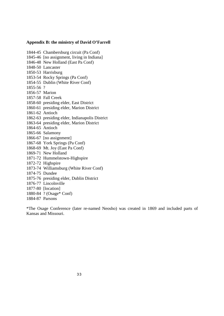#### **Appendix B: the ministry of David O'Farrell**

1844-45 Chambersburg circuit (Pa Conf) 1845-46 [no assignment, living in Indiana] 1846-48 New Holland (East Pa Conf) 1848-50 Lancaster 1850-53 Harrisburg 1853-54 Rocky Springs (Pa Conf) 1854-55 Dublin (White River Conf) 1855-56 ? 1856-57 Marion 1857-58 Fall Creek 1858-60 presiding elder, East District 1860-61 presiding elder, Marion District 1861-62 Antioch 1862-63 presiding elder, Indianapolis District 1863-64 presiding elder, Marion District 1864-65 Antioch 1865-66 Salamony 1866-67 [no assignment] 1867-68 York Springs (Pa Conf) 1868-69 Mt. Joy (East Pa Conf) 1869-71 New Holland 1871-72 Hummelstown-Highspire 1872-72 Highspire 1873-74 Williamsburg (White River Conf) 1874-75 Dundee 1875-76 presiding elder, Dublin District 1876-77 Lincolnville 1877-80 [location] 1880-84 ? (Osage\* Conf) 1884-87 Parsons

\*The Osage Conference (later re-named Neosho) was created in 1869 and included parts of Kansas and Missouri.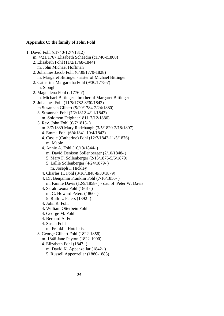34 **Appendix C: the family of John Fohl**  1. David Fohl (c1740-12/?/1812) m. 4/21/1767 Elisabeth Schaedin (c1740-c1808) 2. Elisabeth Fohl (11/2/1768-1844) m. John Michael Hoffman 2. Johannes Jacob Fohl (6/30/1770-1828) m. Margaret Bittinger - sister of Michael Bittinger 2. Catharina Margaretha Fohl (9/30/1775-?) m. Stough 2. Magdalena Fohl (c1776-?) m. Michael Bittinger - brother of Margaret Bittinger 2. Johannes Fohl (11/5/1782-8/30/1842) m Susannah Gilbert (5/20/1784-2/24/1880) 3. Susannah Fohl (7/2/1812-4/11/1843) m. Solomon Feighner1811-7/12/1886) 3. Rev. John Fohl (6/7/1815- ) m. 3/7/1839 Mary Radebaugh (3/5/1820-2/18/1897) 4. Emma Fohl (6/4/1841-10/4/1842) 4. Cassie (Catherine) Fohl (12/3/1842-11/5/1876) m. Maple 4. Annie A. Fohl (10/13/1844- ) m. David Denison Sollenberger (2/10/1848- ) 5. Mary F. Sollenberger (2/15/1876-5/6/1879) 5. Lallie Sollenberger (4/24/1879- ) m. Joseph I. Hickley 4. Charles H. Fohl (3/16/1848-8/30/1879) 4. Dr. Benjamin Franklin Fohl (7/16/1856- ) m. Fannie Davis (12/9/1858- ) - dau of Peter W. Davis 4. Sarah Leona Fohl (1861- ) m. G. Howard Peters (1860- ) 5. Ruth L. Peters (1892- ) 4. John R. Fohl 4. William Otterbein Fohl 4. George M. Fohl 4. Bernard A. Fohl 4. Susan Fohl m. Franklin Hotchkiss 3. George Gilbert Fohl (1822-1856) m. 1846 Jane Peyton (1822-1900) 4. Elizabeth Fohl (1847- ) m. David K. Appenzellar (1842- ) 5. Russell Appenzellar (1880-1885)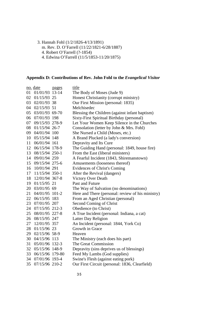3. Hannah Fohl (1/2/1826-4/13/1891) m. Rev. D. O'Farrell (11/22/1821-6/28/1887) 4. Robert O'Farrell (?-1854) 4. Edwina O'Farrell (11/5/1853-11/20/1875)

#### Appendix D: Contributions of Rev. John Fohl to the *Evangelical Visitor*

|    | no. date        | pages | title                                             |
|----|-----------------|-------|---------------------------------------------------|
| 01 | 01/01/93 13-14  |       | The Body of Moses (Jude 9)                        |
| 02 | 01/15/93 25     |       | Honest Christianity (corrupt ministry)            |
| 03 | 02/01/93 38     |       | Our First Mission (personal: 1835)                |
| 04 | 02/15/93 51     |       | Melchisedec                                       |
| 05 | 03/01/93 69-70  |       | Blessing the Children (against infant baptism)    |
| 06 | 07/01/93 198    |       | Sixty-First Spiritual Birthday (personal)         |
| 07 | 09/15/93 278-9  |       | Let Your Women Keep Silence in the Churches       |
| 08 | 01/15/94 26-7   |       | Consolation (letter by John & Mrs. Fohl)          |
| 09 | 04/01/94 100    |       | She Nursed a Child (Moses, etc.)                  |
| 10 | 05/15/94 148    |       | A Brand Plucked (a lady's conversion)             |
| 11 | 06/01/94 161    |       | Depravity and Its Cure                            |
| 12 | 06/15/94 178-9  |       | The Guiding Hand (personal: 1849, house fire)     |
| 13 | 08/15/94 250-1  |       | From the East (liberal ministers)                 |
| 14 | 09/01/94 259    |       | A Fearful Incident (1843, Shiremanstown)          |
| 15 | 09/15/94 275-6  |       | Amusements (looseness thereof)                    |
| 16 | 10/01/94 291    |       | Evidences of Christ's Coming                      |
| 17 | 11/15/94 350-1  |       | After the Revival (dangers)                       |
| 18 | 12/01/94 367-8  |       | Victory Over Death                                |
| 19 | 01/15/95 21     |       | Past and Future                                   |
| 20 | 03/01/95 69     |       | The Way of Salvation (no denominations)           |
| 21 | 04/01/95 101-2  |       | Here and There (personal: review of his ministry) |
| 22 | 06/15/95 183    |       | From an Aged Christian (personal)                 |
| 23 | 07/01/95 207    |       | Second Coming of Christ                           |
| 24 | 07/15/95 212-3  |       | Obedience (to Christ)                             |
| 25 | 08/01/95 227-8  |       | A True Incident (personal: Indiana, a cat)        |
| 26 | 08/15/95 247    |       | Latter Day Religion                               |
| 27 | 12/01/95 357    |       | An Incident (personal: 1844, York Co)             |
| 28 | 01/15/96 23     |       | Growth in Grace                                   |
| 29 | 02/15/96 58-9   |       | Heaven                                            |
| 30 | 04/15/96 113    |       | The Ministry (each does his part)                 |
| 31 | 05/01/96 132-3  |       | The Great Commission                              |
| 32 | 05/15/96 148-9  |       | Depravity (sins deprives us of blessings)         |
| 33 | 06/15/96 179-80 |       | Feed My Lambs (God supplies)                      |
| 34 | 07/01/96 193-4  |       | Swine's Flesh (against eating pork)               |
| 35 | 07/15/96 210-2  |       | Our First Circuit (personal: 1836, Clearfield)    |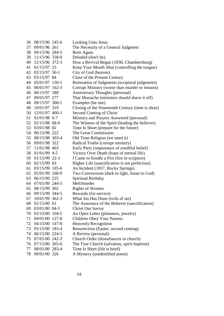| 36 | 08/15/96 245-6   | Looking Unto Jesus                                |
|----|------------------|---------------------------------------------------|
| 37 | 09/01/96 261     | The Necessity of a General Judgment               |
| 38 | 09/15/96 284-5   | Born Again                                        |
| 39 | 11/15/96 338-9   | Deluded (don't be)                                |
| 40 | 12/15/96 372-3   | How a Revival Began (1838, Chambersburg)          |
| 41 | 01/15/97 23      | Keep Your Mouth Shut (controlling the tongue)     |
| 42 | 02/15/97 50-1    | City of God (heaven)                              |
| 43 | 03/15/97 84      | Close of the Present Century                      |
| 44 | 05/01/97 130-1   | Reiteration of Judgments (scriptural judgments)   |
| 45 | 06/01/97 162-3   | Corrupt Ministry (worse than murder or treason)   |
| 46 | 06/15/97 180     | Anniversary Thoughts (personal)                   |
| 47 | 09/01/97 277     | That Mustache (ministers should shave it off)     |
| 48 | 09/15/97 300-1   | Examples (be one)                                 |
| 49 | 10/01/97 319     | Closing of the Nineteenth Century (time is short) |
| 50 | 12/01/97 400-1   | Second Coming of Christ                           |
| 51 | $01/01/98$ 6-7   | Ministry and Prayers Answered (personal)          |
| 52 | 02/15/98 68-9    | The Witness of the Spirit (leading the believer)  |
| 53 | 03/01/98 82      | Time Is Short (prepare for the future)            |
| 54 | 06/15/98 222     | The Great Commission                              |
| 55 | 08/15/98 303-4   | Old Time Religion (we need it)                    |
| 56 | 09/01/98 322     | Radical Truths (corrupt ministry)                 |
| 57 | 11/01/98 403     | Early Piety (importance of youthful belief)       |
| 58 | $01/01/99$ 4-5   | Victory Over Death (hope of eternal life)         |
| 59 | 01/15/99 22-3    | I Came to Kindle a Fire (fire in scripture)       |
| 60 | 02/15/99 63      | Higher Life (sanctification is not perfection)    |
| 61 | 03/15/99 105-6   | An Incident (1837, Rocky Springs)                 |
| 62 | 05/01/99 168-9   | Two Conversions (dark to light, Satan to God)     |
| 63 | 06/15/99 225     | Spiritual Birthday                                |
| 64 | 07/01/99 244-5   | Melchisedec                                       |
| 65 | 08/15/99 302     | <b>Rights of Women</b>                            |
| 66 | 09/15/99 344-5   | Rewards (for service)                             |
| 67 | 10/01/99 362-3   | What Sin Has Done (evils of sin)                  |
| 68 | 02/15/00 61      | The Assurance of the Believer (sanctification)    |
|    | 69 03/01/00 84-5 | <b>Christ Our Savior</b>                          |
| 70 | 03/15/00 104-5   | An Open Letter (plainness, jewelry)               |
| 71 | 04/01/00 127-8   | <b>Children Obey Your Parents</b>                 |
| 72 | 04/15/00 147-8   | <b>Heavenly Recognition</b>                       |
| 73 | 05/15/00 183-4   | Resurrection (Easter, second coming)              |
| 74 | 06/15/00 224-5   | A Review (personal)                               |
| 75 | 07/01/00 242-3   | Church Order (disturbances in church)             |
| 76 | 07/15/00 265-6   | The True Church (salvation, spirit baptism)       |
| 77 | 08/01/00 283-4   | Time Is Short (life is brief)                     |
| 78 | 09/01/00 326     | A Mystery (unidentified poem)                     |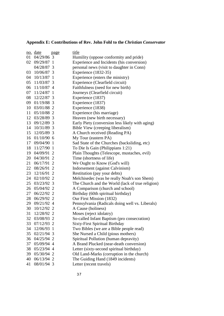### **Appendix E: Contributions of Rev. John Fohl to the** *Christian Conservator*

|    | no. date      | page           | <u>title</u>                                     |
|----|---------------|----------------|--------------------------------------------------|
| 01 | 04/29/86 3    |                | Humility (oppose conformity and pride)           |
| 02 | 09/29/87 1    |                | Experience and Incidents (his conversion)        |
|    | 04/28/87 3    |                | personal news (visit to daughter in Conn)        |
| 03 | 10/06/87 3    |                | Experience (1832-35)                             |
| 04 | 10/13/87      | $\mathbf 1$    | Experience (enters the ministry)                 |
| 05 | 11/03/87      | 3              | Experience (Clearfield circuit)                  |
| 06 | $11/10/87$ 4  |                | Faithfulness (need for new birth)                |
| 07 | 11/24/87      | -1             | Journeys (Clearfield circuit)                    |
| 08 | 12/22/87 3    |                | Experience (1837)                                |
| 09 | 01/19/88 3    |                | Experience (1837)                                |
| 10 | 03/01/88 2    |                | Experience (1838)                                |
| 11 | 05/10/88 2    |                | Experience (his marriage)                        |
| 12 | 03/28/89 3    |                | Heaven (new birth necessary)                     |
| 13 | 09/12/89 3    |                | Early Piety (conversion less likely with aging)  |
| 14 | 10/31/89 3    |                | Bible View (creeping liberalism)                 |
|    | 15 12/05/89 3 |                | A Church received (Reading PA)                   |
| 16 | $01/10/90$ 6  |                | My Tour (eastern PA)                             |
| 17 | 09/04/90      | -1             | Sad State of the Churches (backsliding, etc)     |
| 18 | 11/27/90 1    |                | To Die Is Gain (Philippians 1:21)                |
| 19 | 04/09/91 2    |                | Plain Thoughts (Telescope, mustaches, evil)      |
| 20 | 04/30/91 2    |                | Time (shortness of life)                         |
| 21 | 06/17/91 2    |                | We Ought to Know (God's will)                    |
| 22 | 08/26/91      | 2              | Indorsement (against Calvinism)                  |
| 23 | 12/16/91      | $\overline{2}$ | Restitution (pay your debts)                     |
| 24 | 02/10/92 2    |                | Melchisedec (was he really Noah's son Shem)      |
| 25 | 03/23/92 3    |                | The Church and the World (lack of true religion) |
| 26 | 05/04/92 2    |                | A Comparison (church and school)                 |
| 27 | 06/22/92 2    |                | Birthday (60th spiritual birthday)               |
| 28 | 06/29/92 2    |                | Our First Mission (1832)                         |
|    | 29 09/21/92 4 |                | Pennsylvania (Radicals doing well vs. Liberals)  |
| 30 | 10/12/92 2    |                | A Cause (holiness)                               |
| 31 | 12/28/92 2    |                | Moses (reject idolatry)                          |
| 32 | 03/08/93 2    |                | So-called Infant Baptism (pro consecration)      |
| 33 | 07/12/93 2    |                | <b>Sixty-First Spiritual Birthday</b>            |
| 34 | 12/06/93 1    |                | Two Bibles (we are a Bible people read)          |
| 35 | $02/21/94$ 3  |                | She Nursed a Child (pious mothers)               |
| 36 | 04/25/94 2    |                | Spiritual Pollution (human depravity)            |
| 37 | 05/09/94 4    |                | A Brand Plucked (near-death conversion)          |
| 38 | 05/23/94 4    |                | Letter (sixty-second spiritual birthday)         |
| 39 | 05/30/94 2    |                | Old Land-Marks (corruption in the church)        |
| 40 | 06/13/94 2    |                | The Guiding Hand (1849 incidents)                |
| 41 | 08/01/94 3    |                | Letter (recent travels)                          |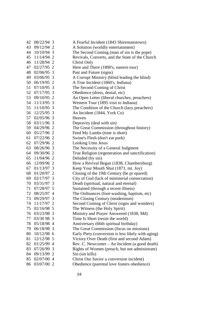| 42 | 08/22/94 3    | A Fearful Incident (1843 Shiremanstown)            |
|----|---------------|----------------------------------------------------|
| 43 | 09/12/94 2    | A Solution (worldly entertainment)                 |
| 44 | $10/10/94$ 3  | The Second Coming (man of sin is the pope)         |
| 45 | 11/14/94 2    | Revivals, Converts, and the State of the Church    |
| 46 | 11/28/94 2    | Christ Only                                        |
| 47 | 02/27/95 2    | Here and There (1890's, eastern tour)              |
| 48 | 02/06/95 3    | Past and Future (signs)                            |
| 49 | 03/06/95 3    | A Corrupt Ministry (blind leading the blind)       |
| 50 | 06/19/95 2    | A True Incident (1860's, Indiana)                  |
| 51 | 07/10/95 3    | The Second Coming of Christ                        |
| 52 | 07/17/95 3    | Obedience (dress, denial, etc)                     |
| 53 | 09/10/95 2    | An Open Letter (liberal churches, preachers)       |
| 54 | 11/13/95 3    | Western Tour (1895 visit to Indiana)               |
|    | 55 11/10/95 3 | The Condition of the Church (lazy preachers)       |
| 56 | 12/25/95 3    | An Incident (1844, York Co)                        |
| 57 | 02/05/96 3    | Heaven                                             |
| 58 | 03/11/96 3    | Depravity (deal with sin)                          |
| 59 | 04/29/96 2    | The Great Commission (throughout history)          |
| 60 | 05/27/96 2    | Feed My Lambs (time is short)                      |
| 61 | 07/22/96 2    | Swine's Flesh (don't eat pork)                     |
| 62 | 07/29/96 2    | <b>Looking Unto Jesus</b>                          |
| 63 | 08/26/96 3    | The Necessity of a General Judgment                |
| 64 | 09/30/96 2    | True Religion (regeneration and sanctification)    |
| 65 | 11/04/96 2    | Deluded (by sin)                                   |
| 66 | 12/09/96 2    | How a Revival Began (1838, Chambersburg)           |
| 67 | 01/13/97 3    | Keep Your Mouth Shut (1871, mt. Joy)               |
| 68 | 01/20/97 2    | Closing of the 19th Century (be pr epared)         |
| 69 | 02/17/97 3    | City of God (lack of ministerial consecration)     |
| 70 | 03/31/97 3    | Death (spiritual, natural and eternal)             |
| 71 | 07/28/97 5    | Sustained (through a recent illness)               |
|    | 72 08/25/97 4 | The Ordinances (foot-washing, baptism, etc)        |
| 73 | 09/29/97 3    | The Closing Century (modernism)                    |
| 74 | 11/17/97 2    | Second Coming of Christ (signs and wonders)        |
|    | 75 02/16/98 5 | The Witness (the Holy Spirit)                      |
| 76 | 03/23/98 3    | Ministry and Prayer Answered (1838, Md)            |
| 77 | 03/30 98 3    | Time Is Short (resist the world)                   |
| 78 | 05/18/98 4    | Anniversary (66th spiritual birthday)              |
| 79 | 06/18/98 3    | The Great Commission (focus on missions)           |
| 80 | $10/12/98$ 6  | Early Piety (conversion is less likely with aging) |
| 81 | 12/12/98 5    | Victory Over Death (first and second Adam)         |
| 82 | 01/25/99 4    | Rev. C. Newcomer – An Incident (a good death)      |
| 83 | 07/26/99 3    | Rights of Women (preach, but not administrate)     |
| 84 | 09/13/99 2    | Sin (sin kills)                                    |
| 85 | 02/07/00 4    | Christ Our Savior a conversion incident)           |
| 86 | 03/07/00 2    | Obedience (parental love fosters obedience)        |